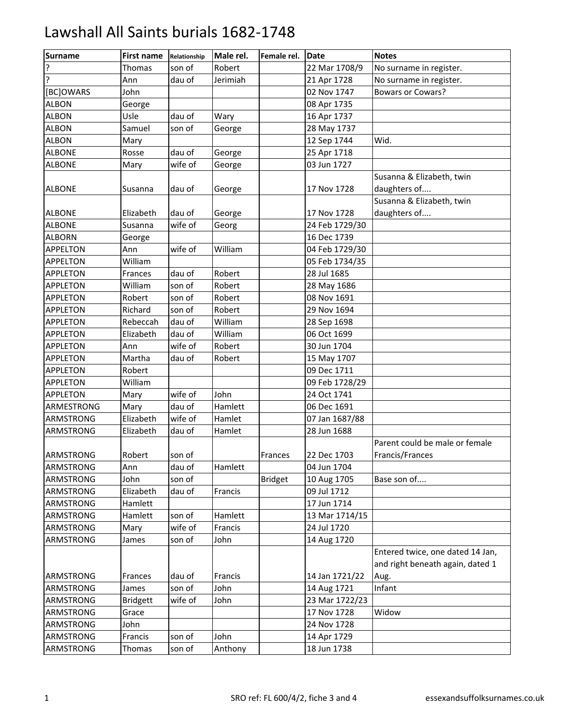| Surname          | <b>First name</b> | Relationship | Male rel. | Female rel.    | <b>IDate</b>   | <b>Notes</b>                                                         |
|------------------|-------------------|--------------|-----------|----------------|----------------|----------------------------------------------------------------------|
| ?                | Thomas            | son of       | Robert    |                | 22 Mar 1708/9  | No surname in register.                                              |
| ŗ                | Ann               | dau of       | Jerimiah  |                | 21 Apr 1728    | No surname in register.                                              |
| [BC]OWARS        | John              |              |           |                | 02 Nov 1747    | <b>Bowars or Cowars?</b>                                             |
| <b>ALBON</b>     | George            |              |           |                | 08 Apr 1735    |                                                                      |
| <b>ALBON</b>     | Usle              | dau of       | Wary      |                | 16 Apr 1737    |                                                                      |
| <b>ALBON</b>     | Samuel            | son of       | George    |                | 28 May 1737    |                                                                      |
| <b>ALBON</b>     | Mary              |              |           |                | 12 Sep 1744    | Wid.                                                                 |
| <b>ALBONE</b>    | Rosse             | dau of       | George    |                | 25 Apr 1718    |                                                                      |
| <b>ALBONE</b>    | Mary              | wife of      | George    |                | 03 Jun 1727    |                                                                      |
| <b>ALBONE</b>    | Susanna           | dau of       | George    |                | 17 Nov 1728    | Susanna & Elizabeth, twin<br>daughters of                            |
| <b>ALBONE</b>    | Elizabeth         | dau of       | George    |                | 17 Nov 1728    | Susanna & Elizabeth, twin<br>daughters of                            |
| <b>ALBONE</b>    | Susanna           | wife of      | Georg     |                | 24 Feb 1729/30 |                                                                      |
| <b>ALBORN</b>    | George            |              |           |                | 16 Dec 1739    |                                                                      |
| <b>APPELTON</b>  | Ann               | wife of      | William   |                | 04 Feb 1729/30 |                                                                      |
| <b>APPELTON</b>  | William           |              |           |                | 05 Feb 1734/35 |                                                                      |
| <b>APPLETON</b>  | Frances           | dau of       | Robert    |                | 28 Jul 1685    |                                                                      |
| <b>APPLETON</b>  | William           | son of       | Robert    |                | 28 May 1686    |                                                                      |
| <b>APPLETON</b>  | Robert            | son of       | Robert    |                | 08 Nov 1691    |                                                                      |
| <b>APPLETON</b>  | Richard           | son of       | Robert    |                | 29 Nov 1694    |                                                                      |
| <b>APPLETON</b>  | Rebeccah          | dau of       | William   |                | 28 Sep 1698    |                                                                      |
| <b>APPLETON</b>  | Elizabeth         | dau of       | William   |                | 06 Oct 1699    |                                                                      |
| <b>APPLETON</b>  | Ann               | wife of      | Robert    |                | 30 Jun 1704    |                                                                      |
| <b>APPLETON</b>  | Martha            | dau of       | Robert    |                | 15 May 1707    |                                                                      |
| <b>APPLETON</b>  | Robert            |              |           |                | 09 Dec 1711    |                                                                      |
| <b>APPLETON</b>  | William           |              |           |                | 09 Feb 1728/29 |                                                                      |
| <b>APPLETON</b>  | Mary              | wife of      | John      |                | 24 Oct 1741    |                                                                      |
| ARMESTRONG       | Mary              | dau of       | Hamlett   |                | 06 Dec 1691    |                                                                      |
| <b>ARMSTRONG</b> | Elizabeth         | wife of      | Hamlet    |                | 07 Jan 1687/88 |                                                                      |
| ARMSTRONG        | Elizabeth         | dau of       | Hamlet    |                | 28 Jun 1688    |                                                                      |
| <b>ARMSTRONG</b> | Robert            | son of       |           | Frances        | 22 Dec 1703    | Parent could be male or female<br>Francis/Frances                    |
| ARMSTRONG        | Ann               | dau of       | Hamlett   |                | 04 Jun 1704    |                                                                      |
| <b>ARMSTRONG</b> | John              | son of       |           | <b>Bridget</b> | 10 Aug 1705    | Base son of                                                          |
| ARMSTRONG        | Elizabeth         | dau of       | Francis   |                | 09 Jul 1712    |                                                                      |
| <b>ARMSTRONG</b> | Hamlett           |              |           |                | 17 Jun 1714    |                                                                      |
| ARMSTRONG        | Hamlett           | son of       | Hamlett   |                | 13 Mar 1714/15 |                                                                      |
| ARMSTRONG        | Mary              | wife of      | Francis   |                | 24 Jul 1720    |                                                                      |
| ARMSTRONG        | James             | son of       | John      |                | 14 Aug 1720    |                                                                      |
|                  |                   |              |           |                |                | Entered twice, one dated 14 Jan,<br>and right beneath again, dated 1 |
| ARMSTRONG        | Frances           | dau of       | Francis   |                | 14 Jan 1721/22 | Aug.                                                                 |
| ARMSTRONG        | James             | son of       | John      |                | 14 Aug 1721    | Infant                                                               |
| ARMSTRONG        | <b>Bridgett</b>   | wife of      | John      |                | 23 Mar 1722/23 |                                                                      |
| ARMSTRONG        | Grace             |              |           |                | 17 Nov 1728    | Widow                                                                |
| ARMSTRONG        | John              |              |           |                | 24 Nov 1728    |                                                                      |
| ARMSTRONG        | Francis           | son of       | John      |                | 14 Apr 1729    |                                                                      |
| ARMSTRONG        | Thomas            | son of       | Anthony   |                | 18 Jun 1738    |                                                                      |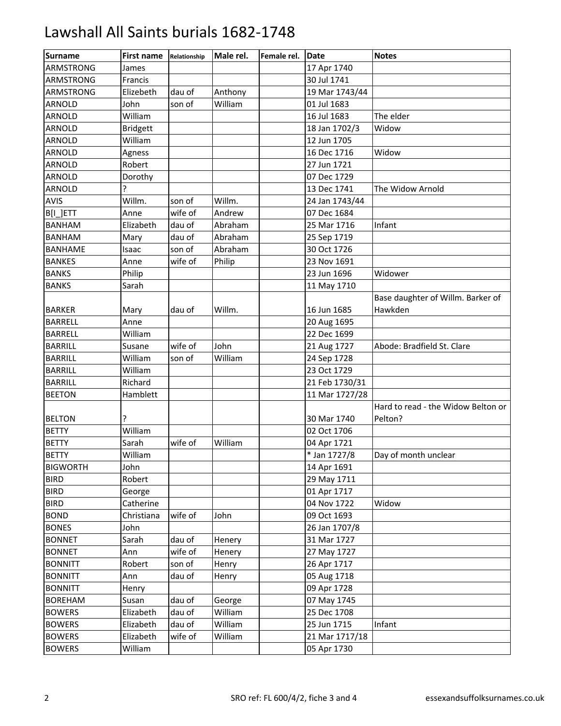| <b>Surname</b>   | <b>First name</b> | Relationship | Male rel. | Female rel. | <b>Date</b>    | <b>Notes</b>                       |
|------------------|-------------------|--------------|-----------|-------------|----------------|------------------------------------|
| <b>ARMSTRONG</b> | James             |              |           |             | 17 Apr 1740    |                                    |
| <b>ARMSTRONG</b> | Francis           |              |           |             | 30 Jul 1741    |                                    |
| ARMSTRONG        | Elizebeth         | dau of       | Anthony   |             | 19 Mar 1743/44 |                                    |
| ARNOLD           | John              | son of       | William   |             | 01 Jul 1683    |                                    |
| ARNOLD           | William           |              |           |             | 16 Jul 1683    | The elder                          |
| ARNOLD           | <b>Bridgett</b>   |              |           |             | 18 Jan 1702/3  | Widow                              |
| ARNOLD           | William           |              |           |             | 12 Jun 1705    |                                    |
| ARNOLD           | Agness            |              |           |             | 16 Dec 1716    | Widow                              |
| <b>ARNOLD</b>    | Robert            |              |           |             | 27 Jun 1721    |                                    |
| ARNOLD           | Dorothy           |              |           |             | 07 Dec 1729    |                                    |
| ARNOLD           | ς                 |              |           |             | 13 Dec 1741    | The Widow Arnold                   |
| AVIS             | Willm.            | son of       | Willm.    |             | 24 Jan 1743/44 |                                    |
| B[I_]ETT         | Anne              | wife of      | Andrew    |             | 07 Dec 1684    |                                    |
| <b>BANHAM</b>    | Elizabeth         | dau of       | Abraham   |             | 25 Mar 1716    | Infant                             |
| <b>BANHAM</b>    | Mary              | dau of       | Abraham   |             | 25 Sep 1719    |                                    |
| <b>BANHAME</b>   | Isaac             | son of       | Abraham   |             | 30 Oct 1726    |                                    |
| <b>BANKES</b>    | Anne              | wife of      | Philip    |             | 23 Nov 1691    |                                    |
| <b>BANKS</b>     | Philip            |              |           |             | 23 Jun 1696    | Widower                            |
| <b>BANKS</b>     | Sarah             |              |           |             | 11 May 1710    |                                    |
|                  |                   |              |           |             |                | Base daughter of Willm. Barker of  |
| <b>BARKER</b>    | Mary              | dau of       | Willm.    |             | 16 Jun 1685    | Hawkden                            |
| <b>BARRELL</b>   | Anne              |              |           |             | 20 Aug 1695    |                                    |
| <b>BARRELL</b>   | William           |              |           |             | 22 Dec 1699    |                                    |
| <b>BARRILL</b>   | Susane            | wife of      | John      |             | 21 Aug 1727    | Abode: Bradfield St. Clare         |
| <b>BARRILL</b>   | William           | son of       | William   |             | 24 Sep 1728    |                                    |
| <b>BARRILL</b>   | William           |              |           |             | 23 Oct 1729    |                                    |
| <b>BARRILL</b>   | Richard           |              |           |             | 21 Feb 1730/31 |                                    |
| <b>BEETON</b>    | Hamblett          |              |           |             | 11 Mar 1727/28 |                                    |
|                  |                   |              |           |             |                | Hard to read - the Widow Belton or |
| <b>BELTON</b>    | ?                 |              |           |             | 30 Mar 1740    | Pelton?                            |
| <b>BETTY</b>     | William           |              |           |             | 02 Oct 1706    |                                    |
| <b>BETTY</b>     | Sarah             | wife of      | William   |             | 04 Apr 1721    |                                    |
| <b>BETTY</b>     | William           |              |           |             | * Jan 1727/8   | Day of month unclear               |
| <b>BIGWORTH</b>  | John              |              |           |             | 14 Apr 1691    |                                    |
| <b>BIRD</b>      | Robert            |              |           |             | 29 May 1711    |                                    |
| <b>BIRD</b>      | George            |              |           |             | 01 Apr 1717    |                                    |
| <b>BIRD</b>      | Catherine         |              |           |             | 04 Nov 1722    | Widow                              |
| <b>BOND</b>      | Christiana        | wife of      | John      |             | 09 Oct 1693    |                                    |
| <b>BONES</b>     | John              |              |           |             | 26 Jan 1707/8  |                                    |
| <b>BONNET</b>    | Sarah             | dau of       | Henery    |             | 31 Mar 1727    |                                    |
| <b>BONNET</b>    | Ann               | wife of      | Henery    |             | 27 May 1727    |                                    |
| <b>BONNITT</b>   | Robert            | son of       | Henry     |             | 26 Apr 1717    |                                    |
| <b>BONNITT</b>   | Ann               | dau of       | Henry     |             | 05 Aug 1718    |                                    |
| <b>BONNITT</b>   | Henry             |              |           |             | 09 Apr 1728    |                                    |
| <b>BOREHAM</b>   | Susan             | dau of       | George    |             | 07 May 1745    |                                    |
| <b>BOWERS</b>    | Elizabeth         | dau of       | William   |             | 25 Dec 1708    |                                    |
| <b>BOWERS</b>    | Elizabeth         | dau of       | William   |             | 25 Jun 1715    | Infant                             |
| <b>BOWERS</b>    | Elizabeth         | wife of      | William   |             | 21 Mar 1717/18 |                                    |
| <b>BOWERS</b>    | William           |              |           |             | 05 Apr 1730    |                                    |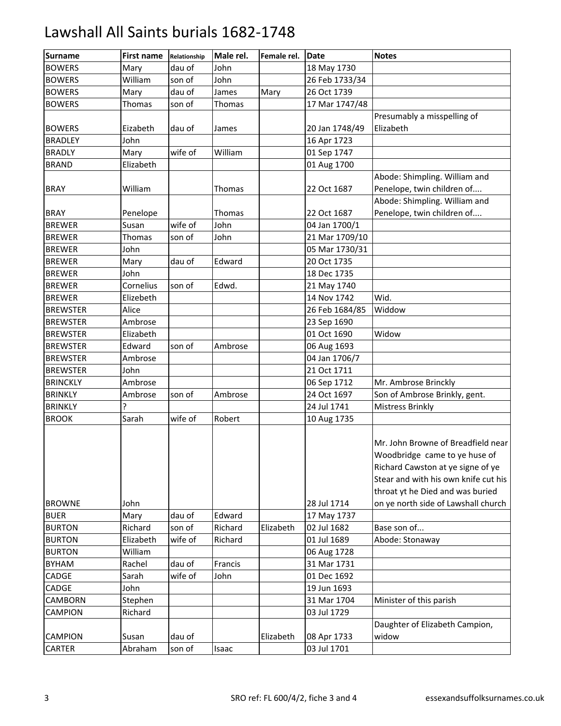| <b>Surname</b>  | <b>First name</b> | Relationship | Male rel. | Female rel. | Date           | <b>Notes</b>                                                                                                                                                                                                                |
|-----------------|-------------------|--------------|-----------|-------------|----------------|-----------------------------------------------------------------------------------------------------------------------------------------------------------------------------------------------------------------------------|
| <b>BOWERS</b>   | Mary              | dau of       | John      |             | 18 May 1730    |                                                                                                                                                                                                                             |
| <b>BOWERS</b>   | William           | son of       | John      |             | 26 Feb 1733/34 |                                                                                                                                                                                                                             |
| <b>BOWERS</b>   | Mary              | dau of       | James     | Mary        | 26 Oct 1739    |                                                                                                                                                                                                                             |
| <b>BOWERS</b>   | Thomas            | son of       | Thomas    |             | 17 Mar 1747/48 |                                                                                                                                                                                                                             |
|                 |                   |              |           |             |                | Presumably a misspelling of                                                                                                                                                                                                 |
| <b>BOWERS</b>   | Eizabeth          | dau of       | James     |             | 20 Jan 1748/49 | Elizabeth                                                                                                                                                                                                                   |
| <b>BRADLEY</b>  | John              |              |           |             | 16 Apr 1723    |                                                                                                                                                                                                                             |
| <b>BRADLY</b>   | Mary              | wife of      | William   |             | 01 Sep 1747    |                                                                                                                                                                                                                             |
| <b>BRAND</b>    | Elizabeth         |              |           |             | 01 Aug 1700    |                                                                                                                                                                                                                             |
|                 |                   |              |           |             |                | Abode: Shimpling. William and                                                                                                                                                                                               |
| <b>BRAY</b>     | William           |              | Thomas    |             | 22 Oct 1687    | Penelope, twin children of                                                                                                                                                                                                  |
|                 |                   |              |           |             |                | Abode: Shimpling. William and                                                                                                                                                                                               |
| <b>BRAY</b>     | Penelope          |              | Thomas    |             | 22 Oct 1687    | Penelope, twin children of                                                                                                                                                                                                  |
| <b>BREWER</b>   | Susan             | wife of      | John      |             | 04 Jan 1700/1  |                                                                                                                                                                                                                             |
| <b>BREWER</b>   | Thomas            | son of       | John      |             | 21 Mar 1709/10 |                                                                                                                                                                                                                             |
| <b>BREWER</b>   | John              |              |           |             | 05 Mar 1730/31 |                                                                                                                                                                                                                             |
| <b>BREWER</b>   | Mary              | dau of       | Edward    |             | 20 Oct 1735    |                                                                                                                                                                                                                             |
| <b>BREWER</b>   | John              |              |           |             | 18 Dec 1735    |                                                                                                                                                                                                                             |
| <b>BREWER</b>   | Cornelius         | son of       | Edwd.     |             | 21 May 1740    |                                                                                                                                                                                                                             |
| <b>BREWER</b>   | Elizebeth         |              |           |             | 14 Nov 1742    | Wid.                                                                                                                                                                                                                        |
| <b>BREWSTER</b> | Alice             |              |           |             | 26 Feb 1684/85 | Widdow                                                                                                                                                                                                                      |
| <b>BREWSTER</b> | Ambrose           |              |           |             | 23 Sep 1690    |                                                                                                                                                                                                                             |
| <b>BREWSTER</b> | Elizabeth         |              |           |             | 01 Oct 1690    | Widow                                                                                                                                                                                                                       |
| <b>BREWSTER</b> | Edward            | son of       | Ambrose   |             | 06 Aug 1693    |                                                                                                                                                                                                                             |
| <b>BREWSTER</b> | Ambrose           |              |           |             | 04 Jan 1706/7  |                                                                                                                                                                                                                             |
| <b>BREWSTER</b> | John              |              |           |             | 21 Oct 1711    |                                                                                                                                                                                                                             |
| <b>BRINCKLY</b> | Ambrose           |              |           |             | 06 Sep 1712    | Mr. Ambrose Brinckly                                                                                                                                                                                                        |
| <b>BRINKLY</b>  | Ambrose           | son of       | Ambrose   |             | 24 Oct 1697    | Son of Ambrose Brinkly, gent.                                                                                                                                                                                               |
| <b>BRINKLY</b>  | ?                 |              |           |             | 24 Jul 1741    | Mistress Brinkly                                                                                                                                                                                                            |
| <b>BROOK</b>    | Sarah             | wife of      | Robert    |             | 10 Aug 1735    |                                                                                                                                                                                                                             |
| <b>BROWNE</b>   | John              |              |           |             | 28 Jul 1714    | Mr. John Browne of Breadfield near<br>Woodbridge came to ye huse of<br>Richard Cawston at ye signe of ye<br>Stear and with his own knife cut his<br>throat yt he Died and was buried<br>on ye north side of Lawshall church |
| <b>BUER</b>     | Mary              | dau of       | Edward    |             | 17 May 1737    |                                                                                                                                                                                                                             |
| <b>BURTON</b>   | Richard           | son of       | Richard   | Elizabeth   | 02 Jul 1682    | Base son of                                                                                                                                                                                                                 |
| <b>BURTON</b>   | Elizabeth         | wife of      | Richard   |             | 01 Jul 1689    | Abode: Stonaway                                                                                                                                                                                                             |
| <b>BURTON</b>   | William           |              |           |             | 06 Aug 1728    |                                                                                                                                                                                                                             |
| <b>BYHAM</b>    | Rachel            | dau of       | Francis   |             | 31 Mar 1731    |                                                                                                                                                                                                                             |
| CADGE           | Sarah             | wife of      | John      |             | 01 Dec 1692    |                                                                                                                                                                                                                             |
| CADGE           | John              |              |           |             | 19 Jun 1693    |                                                                                                                                                                                                                             |
| CAMBORN         | Stephen           |              |           |             | 31 Mar 1704    | Minister of this parish                                                                                                                                                                                                     |
| <b>CAMPION</b>  | Richard           |              |           |             | 03 Jul 1729    |                                                                                                                                                                                                                             |
| <b>CAMPION</b>  | Susan             | dau of       |           | Elizabeth   | 08 Apr 1733    | Daughter of Elizabeth Campion,<br>widow                                                                                                                                                                                     |
| CARTER          | Abraham           | son of       | Isaac     |             | 03 Jul 1701    |                                                                                                                                                                                                                             |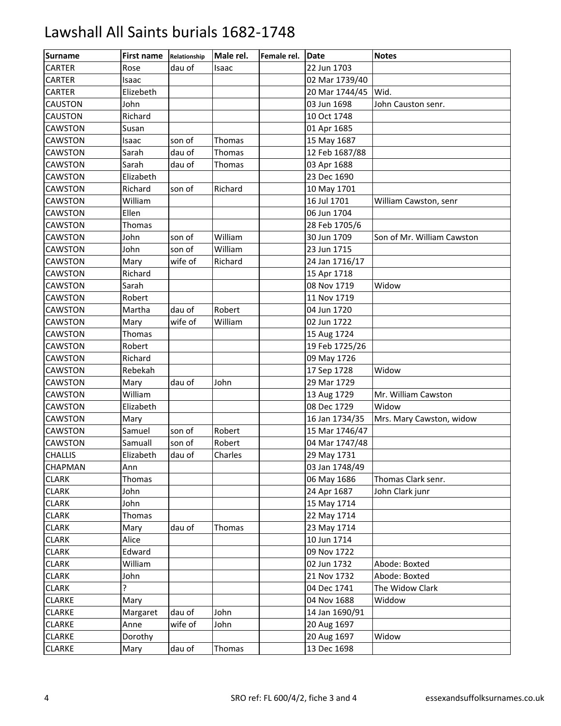| <b>Surname</b> | <b>First name</b> | Relationship | Male rel.     | Female rel. | <b>IDate</b>   | <b>Notes</b>               |
|----------------|-------------------|--------------|---------------|-------------|----------------|----------------------------|
| <b>CARTER</b>  | Rose              | dau of       | Isaac         |             | 22 Jun 1703    |                            |
| CARTER         | Isaac             |              |               |             | 02 Mar 1739/40 |                            |
| <b>CARTER</b>  | Elizebeth         |              |               |             | 20 Mar 1744/45 | Wid.                       |
| <b>CAUSTON</b> | John              |              |               |             | 03 Jun 1698    | John Causton senr.         |
| <b>CAUSTON</b> | Richard           |              |               |             | 10 Oct 1748    |                            |
| <b>CAWSTON</b> | Susan             |              |               |             | 01 Apr 1685    |                            |
| <b>CAWSTON</b> | Isaac             | son of       | <b>Thomas</b> |             | 15 May 1687    |                            |
| CAWSTON        | Sarah             | dau of       | Thomas        |             | 12 Feb 1687/88 |                            |
| CAWSTON        | Sarah             | dau of       | Thomas        |             | 03 Apr 1688    |                            |
| <b>CAWSTON</b> | Elizabeth         |              |               |             | 23 Dec 1690    |                            |
| <b>CAWSTON</b> | Richard           | son of       | Richard       |             | 10 May 1701    |                            |
| CAWSTON        | William           |              |               |             | 16 Jul 1701    | William Cawston, senr      |
| CAWSTON        | Ellen             |              |               |             | 06 Jun 1704    |                            |
| <b>CAWSTON</b> | Thomas            |              |               |             | 28 Feb 1705/6  |                            |
| <b>CAWSTON</b> | John              | son of       | William       |             | 30 Jun 1709    | Son of Mr. William Cawston |
| <b>CAWSTON</b> | John              | son of       | William       |             | 23 Jun 1715    |                            |
| <b>CAWSTON</b> | Mary              | wife of      | Richard       |             | 24 Jan 1716/17 |                            |
| CAWSTON        | Richard           |              |               |             | 15 Apr 1718    |                            |
| CAWSTON        | Sarah             |              |               |             | 08 Nov 1719    | Widow                      |
| CAWSTON        | Robert            |              |               |             | 11 Nov 1719    |                            |
| <b>CAWSTON</b> | Martha            | dau of       | Robert        |             | 04 Jun 1720    |                            |
| CAWSTON        | Mary              | wife of      | William       |             | 02 Jun 1722    |                            |
| <b>CAWSTON</b> | Thomas            |              |               |             | 15 Aug 1724    |                            |
| <b>CAWSTON</b> | Robert            |              |               |             | 19 Feb 1725/26 |                            |
| CAWSTON        | Richard           |              |               |             | 09 May 1726    |                            |
| <b>CAWSTON</b> | Rebekah           |              |               |             | 17 Sep 1728    | Widow                      |
| CAWSTON        | Mary              | dau of       | John          |             | 29 Mar 1729    |                            |
| CAWSTON        | William           |              |               |             | 13 Aug 1729    | Mr. William Cawston        |
| CAWSTON        | Elizabeth         |              |               |             | 08 Dec 1729    | Widow                      |
| <b>CAWSTON</b> | Mary              |              |               |             | 16 Jan 1734/35 | Mrs. Mary Cawston, widow   |
| CAWSTON        | Samuel            | son of       | Robert        |             | 15 Mar 1746/47 |                            |
| CAWSTON        | Samuall           | son of       | Robert        |             | 04 Mar 1747/48 |                            |
| <b>CHALLIS</b> | Elizabeth         | dau of       | Charles       |             | 29 May 1731    |                            |
| <b>CHAPMAN</b> | Ann               |              |               |             | 03 Jan 1748/49 |                            |
| <b>CLARK</b>   | Thomas            |              |               |             | 06 May 1686    | Thomas Clark senr.         |
| <b>CLARK</b>   | John              |              |               |             | 24 Apr 1687    | John Clark junr            |
| <b>CLARK</b>   | John              |              |               |             | 15 May 1714    |                            |
| <b>CLARK</b>   | Thomas            |              |               |             | 22 May 1714    |                            |
| <b>CLARK</b>   | Mary              | dau of       | Thomas        |             | 23 May 1714    |                            |
| <b>CLARK</b>   | Alice             |              |               |             | 10 Jun 1714    |                            |
| <b>CLARK</b>   | Edward            |              |               |             | 09 Nov 1722    |                            |
| <b>CLARK</b>   | William           |              |               |             | 02 Jun 1732    | Abode: Boxted              |
| <b>CLARK</b>   | John              |              |               |             | 21 Nov 1732    | Abode: Boxted              |
| <b>CLARK</b>   | ?                 |              |               |             | 04 Dec 1741    | The Widow Clark            |
| <b>CLARKE</b>  | Mary              |              |               |             | 04 Nov 1688    | Widdow                     |
| <b>CLARKE</b>  | Margaret          | dau of       | John          |             | 14 Jan 1690/91 |                            |
| <b>CLARKE</b>  | Anne              | wife of      | John          |             | 20 Aug 1697    |                            |
| <b>CLARKE</b>  | Dorothy           |              |               |             | 20 Aug 1697    | Widow                      |
| <b>CLARKE</b>  | Mary              | dau of       | Thomas        |             | 13 Dec 1698    |                            |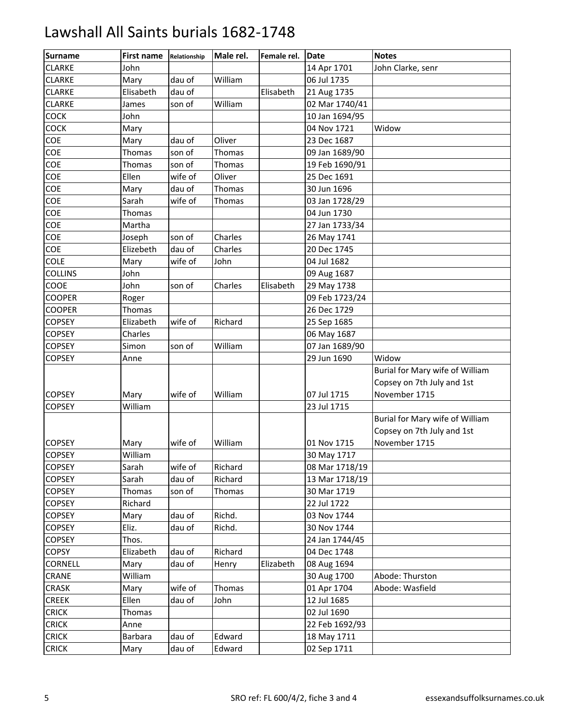| <b>Surname</b> | <b>First name</b> | Relationship | Male rel. | Female rel. | <b>Date</b>    | <b>Notes</b>                    |
|----------------|-------------------|--------------|-----------|-------------|----------------|---------------------------------|
| <b>CLARKE</b>  | John              |              |           |             | 14 Apr 1701    | John Clarke, senr               |
| <b>CLARKE</b>  | Mary              | dau of       | William   |             | 06 Jul 1735    |                                 |
| <b>CLARKE</b>  | Elisabeth         | dau of       |           | Elisabeth   | 21 Aug 1735    |                                 |
| <b>CLARKE</b>  | James             | son of       | William   |             | 02 Mar 1740/41 |                                 |
| COCK           | John              |              |           |             | 10 Jan 1694/95 |                                 |
| COCK           | Mary              |              |           |             | 04 Nov 1721    | Widow                           |
| COE            | Mary              | dau of       | Oliver    |             | 23 Dec 1687    |                                 |
| COE            | Thomas            | son of       | Thomas    |             | 09 Jan 1689/90 |                                 |
| COE            | Thomas            | son of       | Thomas    |             | 19 Feb 1690/91 |                                 |
| COE            | Ellen             | wife of      | Oliver    |             | 25 Dec 1691    |                                 |
| COE            | Mary              | dau of       | Thomas    |             | 30 Jun 1696    |                                 |
| COE            | Sarah             | wife of      | Thomas    |             | 03 Jan 1728/29 |                                 |
| COE            | Thomas            |              |           |             | 04 Jun 1730    |                                 |
| COE            | Martha            |              |           |             | 27 Jan 1733/34 |                                 |
| COE            | Joseph            | son of       | Charles   |             | 26 May 1741    |                                 |
| COE            | Elizebeth         | dau of       | Charles   |             | 20 Dec 1745    |                                 |
| <b>COLE</b>    | Mary              | wife of      | John      |             | 04 Jul 1682    |                                 |
| COLLINS        | John              |              |           |             | 09 Aug 1687    |                                 |
| COOE           | John              | son of       | Charles   | Elisabeth   | 29 May 1738    |                                 |
| <b>COOPER</b>  | Roger             |              |           |             | 09 Feb 1723/24 |                                 |
| <b>COOPER</b>  | Thomas            |              |           |             | 26 Dec 1729    |                                 |
| <b>COPSEY</b>  | Elizabeth         | wife of      | Richard   |             | 25 Sep 1685    |                                 |
| <b>COPSEY</b>  | Charles           |              |           |             | 06 May 1687    |                                 |
| <b>COPSEY</b>  | Simon             | son of       | William   |             | 07 Jan 1689/90 |                                 |
| <b>COPSEY</b>  | Anne              |              |           |             | 29 Jun 1690    | Widow                           |
|                |                   |              |           |             |                | Burial for Mary wife of William |
|                |                   |              |           |             |                | Copsey on 7th July and 1st      |
| <b>COPSEY</b>  | Mary              | wife of      | William   |             | 07 Jul 1715    | November 1715                   |
| <b>COPSEY</b>  | William           |              |           |             | 23 Jul 1715    |                                 |
|                |                   |              |           |             |                | Burial for Mary wife of William |
|                |                   |              |           |             |                | Copsey on 7th July and 1st      |
| <b>COPSEY</b>  | Mary              | wife of      | William   |             | 01 Nov 1715    | November 1715                   |
| <b>COPSEY</b>  | William           |              |           |             | 30 May 1717    |                                 |
| <b>COPSEY</b>  | Sarah             | wife of      | Richard   |             | 08 Mar 1718/19 |                                 |
| <b>COPSEY</b>  | Sarah             | dau of       | Richard   |             | 13 Mar 1718/19 |                                 |
| <b>COPSEY</b>  | Thomas            | son of       | Thomas    |             | 30 Mar 1719    |                                 |
| <b>COPSEY</b>  | Richard           |              |           |             | 22 Jul 1722    |                                 |
| <b>COPSEY</b>  | Mary              | dau of       | Richd.    |             | 03 Nov 1744    |                                 |
| <b>COPSEY</b>  | Eliz.             | dau of       | Richd.    |             | 30 Nov 1744    |                                 |
| <b>COPSEY</b>  | Thos.             |              |           |             | 24 Jan 1744/45 |                                 |
| <b>COPSY</b>   | Elizabeth         | dau of       | Richard   |             | 04 Dec 1748    |                                 |
| CORNELL        | Mary              | dau of       | Henry     | Elizabeth   | 08 Aug 1694    |                                 |
| CRANE          | William           |              |           |             | 30 Aug 1700    | Abode: Thurston                 |
| CRASK          | Mary              | wife of      | Thomas    |             | 01 Apr 1704    | Abode: Wasfield                 |
| <b>CREEK</b>   | Ellen             | dau of       | John      |             | 12 Jul 1685    |                                 |
| <b>CRICK</b>   | Thomas            |              |           |             | 02 Jul 1690    |                                 |
| <b>CRICK</b>   | Anne              |              |           |             | 22 Feb 1692/93 |                                 |
| <b>CRICK</b>   | <b>Barbara</b>    | dau of       | Edward    |             | 18 May 1711    |                                 |
| <b>CRICK</b>   | Mary              | dau of       | Edward    |             | 02 Sep 1711    |                                 |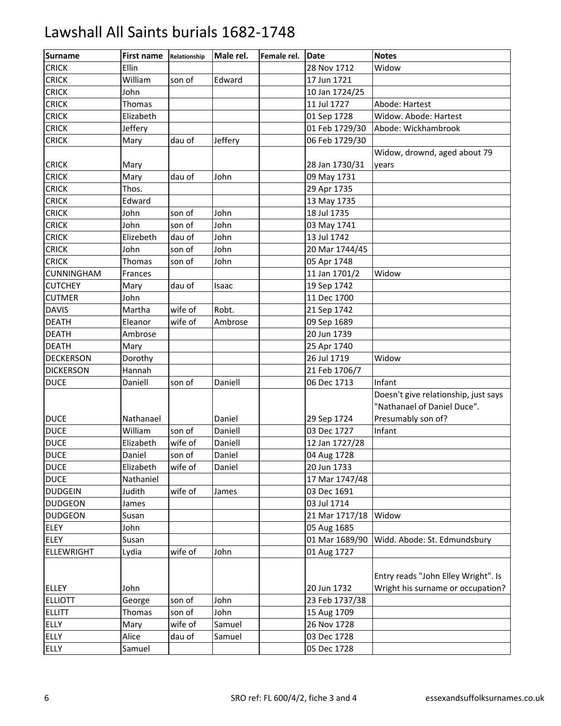| <b>Surname</b>    | <b>First name</b> | Relationship | Male rel. | Female rel. | <b>IDate</b>   | <b>Notes</b>                                                             |
|-------------------|-------------------|--------------|-----------|-------------|----------------|--------------------------------------------------------------------------|
| <b>CRICK</b>      | Ellin             |              |           |             | 28 Nov 1712    | Widow                                                                    |
| <b>CRICK</b>      | William           | son of       | Edward    |             | 17 Jun 1721    |                                                                          |
| <b>CRICK</b>      | John              |              |           |             | 10 Jan 1724/25 |                                                                          |
| <b>CRICK</b>      | Thomas            |              |           |             | 11 Jul 1727    | Abode: Hartest                                                           |
| <b>CRICK</b>      | Elizabeth         |              |           |             | 01 Sep 1728    | Widow. Abode: Hartest                                                    |
| <b>CRICK</b>      | Jeffery           |              |           |             | 01 Feb 1729/30 | Abode: Wickhambrook                                                      |
| <b>CRICK</b>      | Mary              | dau of       | Jeffery   |             | 06 Feb 1729/30 |                                                                          |
|                   |                   |              |           |             |                | Widow, drownd, aged about 79                                             |
| <b>CRICK</b>      | Mary              |              |           |             | 28 Jan 1730/31 | years                                                                    |
| <b>CRICK</b>      | Mary              | dau of       | John      |             | 09 May 1731    |                                                                          |
| <b>CRICK</b>      | Thos.             |              |           |             | 29 Apr 1735    |                                                                          |
| <b>CRICK</b>      | Edward            |              |           |             | 13 May 1735    |                                                                          |
| <b>CRICK</b>      | John              | son of       | John      |             | 18 Jul 1735    |                                                                          |
| <b>CRICK</b>      | John              | son of       | John      |             | 03 May 1741    |                                                                          |
| <b>CRICK</b>      | Elizebeth         | dau of       | John      |             | 13 Jul 1742    |                                                                          |
| <b>CRICK</b>      | John              | son of       | John      |             | 20 Mar 1744/45 |                                                                          |
| <b>CRICK</b>      | Thomas            | son of       | John      |             | 05 Apr 1748    |                                                                          |
| CUNNINGHAM        | Frances           |              |           |             | 11 Jan 1701/2  | Widow                                                                    |
| <b>CUTCHEY</b>    | Mary              | dau of       | Isaac     |             | 19 Sep 1742    |                                                                          |
| <b>CUTMER</b>     | John              |              |           |             | 11 Dec 1700    |                                                                          |
| <b>DAVIS</b>      | Martha            | wife of      | Robt.     |             | 21 Sep 1742    |                                                                          |
| <b>DEATH</b>      | Eleanor           | wife of      | Ambrose   |             | 09 Sep 1689    |                                                                          |
| <b>DEATH</b>      | Ambrose           |              |           |             | 20 Jun 1739    |                                                                          |
| <b>DEATH</b>      | Mary              |              |           |             | 25 Apr 1740    |                                                                          |
| <b>DECKERSON</b>  | Dorothy           |              |           |             | 26 Jul 1719    | Widow                                                                    |
| <b>DICKERSON</b>  | Hannah            |              |           |             | 21 Feb 1706/7  |                                                                          |
| <b>DUCE</b>       | Daniell           | son of       | Daniell   |             | 06 Dec 1713    | Infant                                                                   |
|                   |                   |              |           |             |                | Doesn't give relationship, just says                                     |
|                   |                   |              |           |             |                | "Nathanael of Daniel Duce".                                              |
| <b>DUCE</b>       | Nathanael         |              | Daniel    |             | 29 Sep 1724    | Presumably son of?                                                       |
| <b>DUCE</b>       | William           | son of       | Daniell   |             | 03 Dec 1727    | Infant                                                                   |
| <b>DUCE</b>       | Elizabeth         | wife of      | Daniell   |             | 12 Jan 1727/28 |                                                                          |
| <b>DUCE</b>       | Daniel            | son of       | Daniel    |             | 04 Aug 1728    |                                                                          |
| <b>DUCE</b>       | Elizabeth         | wife of      | Daniel    |             | 20 Jun 1733    |                                                                          |
| <b>DUCE</b>       | Nathaniel         |              |           |             | 17 Mar 1747/48 |                                                                          |
| <b>DUDGEIN</b>    | Judith            | wife of      | James     |             | 03 Dec 1691    |                                                                          |
| <b>DUDGEON</b>    | James             |              |           |             | 03 Jul 1714    |                                                                          |
| <b>DUDGEON</b>    | Susan             |              |           |             | 21 Mar 1717/18 | Widow                                                                    |
| <b>ELEY</b>       | John              |              |           |             | 05 Aug 1685    |                                                                          |
| <b>ELEY</b>       | Susan             |              |           |             | 01 Mar 1689/90 | Widd. Abode: St. Edmundsbury                                             |
| <b>ELLEWRIGHT</b> | Lydia             | wife of      | John      |             | 01 Aug 1727    |                                                                          |
|                   |                   |              |           |             |                |                                                                          |
| <b>ELLEY</b>      | John              |              |           |             | 20 Jun 1732    | Entry reads "John Elley Wright". Is<br>Wright his surname or occupation? |
| <b>ELLIOTT</b>    | George            | son of       | John      |             | 23 Feb 1737/38 |                                                                          |
| <b>ELLITT</b>     | Thomas            | son of       | John      |             | 15 Aug 1709    |                                                                          |
| <b>ELLY</b>       | Mary              | wife of      | Samuel    |             | 26 Nov 1728    |                                                                          |
| <b>ELLY</b>       | Alice             | dau of       | Samuel    |             | 03 Dec 1728    |                                                                          |
|                   |                   |              |           |             |                |                                                                          |
| <b>ELLY</b>       | Samuel            |              |           |             | 05 Dec 1728    |                                                                          |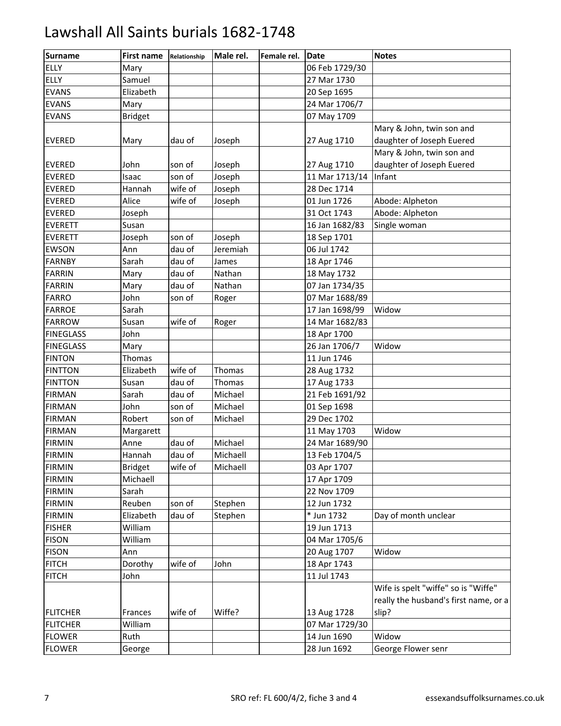| <b>Surname</b>   | <b>First name</b> | Relationship | Male rel. | Female rel. | Date           | <b>Notes</b>                          |
|------------------|-------------------|--------------|-----------|-------------|----------------|---------------------------------------|
| <b>ELLY</b>      | Mary              |              |           |             | 06 Feb 1729/30 |                                       |
| <b>ELLY</b>      | Samuel            |              |           |             | 27 Mar 1730    |                                       |
| <b>EVANS</b>     | Elizabeth         |              |           |             | 20 Sep 1695    |                                       |
| <b>EVANS</b>     | Mary              |              |           |             | 24 Mar 1706/7  |                                       |
| <b>EVANS</b>     | <b>Bridget</b>    |              |           |             | 07 May 1709    |                                       |
|                  |                   |              |           |             |                | Mary & John, twin son and             |
| <b>EVERED</b>    | Mary              | dau of       | Joseph    |             | 27 Aug 1710    | daughter of Joseph Euered             |
|                  |                   |              |           |             |                | Mary & John, twin son and             |
| <b>EVERED</b>    | John              | son of       | Joseph    |             | 27 Aug 1710    | daughter of Joseph Euered             |
| <b>EVERED</b>    | Isaac             | son of       | Joseph    |             | 11 Mar 1713/14 | Infant                                |
| <b>EVERED</b>    | Hannah            | wife of      | Joseph    |             | 28 Dec 1714    |                                       |
| <b>EVERED</b>    | Alice             | wife of      | Joseph    |             | 01 Jun 1726    | Abode: Alpheton                       |
| <b>EVERED</b>    | Joseph            |              |           |             | 31 Oct 1743    | Abode: Alpheton                       |
| <b>EVERETT</b>   | Susan             |              |           |             | 16 Jan 1682/83 | Single woman                          |
| <b>EVERETT</b>   | Joseph            | son of       | Joseph    |             | 18 Sep 1701    |                                       |
| <b>EWSON</b>     | Ann               | dau of       | Jeremiah  |             | 06 Jul 1742    |                                       |
| <b>FARNBY</b>    | Sarah             | dau of       | James     |             | 18 Apr 1746    |                                       |
| <b>FARRIN</b>    | Mary              | dau of       | Nathan    |             | 18 May 1732    |                                       |
| <b>FARRIN</b>    | Mary              | dau of       | Nathan    |             | 07 Jan 1734/35 |                                       |
| <b>FARRO</b>     | John              | son of       | Roger     |             | 07 Mar 1688/89 |                                       |
| <b>FARROE</b>    | Sarah             |              |           |             | 17 Jan 1698/99 | Widow                                 |
| <b>FARROW</b>    | Susan             | wife of      | Roger     |             | 14 Mar 1682/83 |                                       |
| <b>FINEGLASS</b> | John              |              |           |             | 18 Apr 1700    |                                       |
| <b>FINEGLASS</b> | Mary              |              |           |             | 26 Jan 1706/7  | Widow                                 |
| <b>FINTON</b>    | Thomas            |              |           |             | 11 Jun 1746    |                                       |
| <b>FINTTON</b>   | Elizabeth         | wife of      | Thomas    |             | 28 Aug 1732    |                                       |
| <b>FINTTON</b>   | Susan             | dau of       | Thomas    |             | 17 Aug 1733    |                                       |
| <b>FIRMAN</b>    | Sarah             | dau of       | Michael   |             | 21 Feb 1691/92 |                                       |
| <b>FIRMAN</b>    | John              | son of       | Michael   |             | 01 Sep 1698    |                                       |
| <b>FIRMAN</b>    | Robert            | son of       | Michael   |             | 29 Dec 1702    |                                       |
| <b>FIRMAN</b>    | Margarett         |              |           |             | 11 May 1703    | Widow                                 |
| <b>FIRMIN</b>    | Anne              | dau of       | Michael   |             | 24 Mar 1689/90 |                                       |
| <b>FIRMIN</b>    | Hannah            | dau of       | Michaell  |             | 13 Feb 1704/5  |                                       |
| <b>FIRMIN</b>    | <b>Bridget</b>    | wife of      | Michaell  |             | 03 Apr 1707    |                                       |
| <b>FIRMIN</b>    | Michaell          |              |           |             | 17 Apr 1709    |                                       |
| <b>FIRMIN</b>    | Sarah             |              |           |             | 22 Nov 1709    |                                       |
| <b>FIRMIN</b>    | Reuben            | son of       | Stephen   |             | 12 Jun 1732    |                                       |
| <b>FIRMIN</b>    | Elizabeth         | dau of       | Stephen   |             | * Jun 1732     | Day of month unclear                  |
| <b>FISHER</b>    | William           |              |           |             | 19 Jun 1713    |                                       |
| <b>FISON</b>     | William           |              |           |             | 04 Mar 1705/6  |                                       |
| <b>FISON</b>     | Ann               |              |           |             | 20 Aug 1707    | Widow                                 |
| <b>FITCH</b>     | Dorothy           | wife of      | John      |             | 18 Apr 1743    |                                       |
| <b>FITCH</b>     | John              |              |           |             | 11 Jul 1743    |                                       |
|                  |                   |              |           |             |                | Wife is spelt "wiffe" so is "Wiffe"   |
|                  |                   |              |           |             |                | really the husband's first name, or a |
| <b>FLITCHER</b>  | Frances           | wife of      | Wiffe?    |             | 13 Aug 1728    | slip?                                 |
| <b>FLITCHER</b>  | William           |              |           |             | 07 Mar 1729/30 |                                       |
| <b>FLOWER</b>    | Ruth              |              |           |             | 14 Jun 1690    | Widow                                 |
| <b>FLOWER</b>    | George            |              |           |             | 28 Jun 1692    | George Flower senr                    |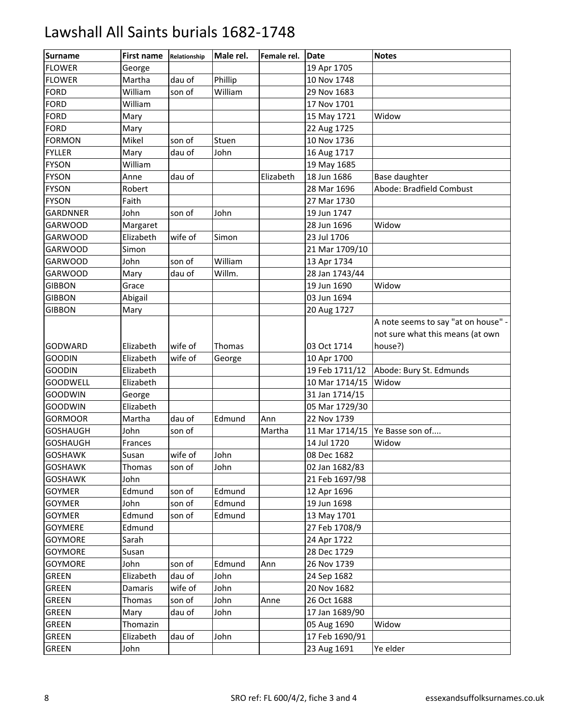| Surname         | First name | Relationship | Male rel. | Female rel. | Date           | <b>Notes</b>                        |
|-----------------|------------|--------------|-----------|-------------|----------------|-------------------------------------|
| <b>FLOWER</b>   | George     |              |           |             | 19 Apr 1705    |                                     |
| <b>FLOWER</b>   | Martha     | dau of       | Phillip   |             | 10 Nov 1748    |                                     |
| FORD            | William    | son of       | William   |             | 29 Nov 1683    |                                     |
| <b>FORD</b>     | William    |              |           |             | 17 Nov 1701    |                                     |
| <b>FORD</b>     | Mary       |              |           |             | 15 May 1721    | Widow                               |
| <b>FORD</b>     | Mary       |              |           |             | 22 Aug 1725    |                                     |
| <b>FORMON</b>   | Mikel      | son of       | Stuen     |             | 10 Nov 1736    |                                     |
| <b>FYLLER</b>   | Mary       | dau of       | John      |             | 16 Aug 1717    |                                     |
| <b>FYSON</b>    | William    |              |           |             | 19 May 1685    |                                     |
| <b>FYSON</b>    | Anne       | dau of       |           | Elizabeth   | 18 Jun 1686    | <b>Base daughter</b>                |
| <b>FYSON</b>    | Robert     |              |           |             | 28 Mar 1696    | Abode: Bradfield Combust            |
| <b>FYSON</b>    | Faith      |              |           |             | 27 Mar 1730    |                                     |
| <b>GARDNNER</b> | John       | son of       | John      |             | 19 Jun 1747    |                                     |
| <b>GARWOOD</b>  | Margaret   |              |           |             | 28 Jun 1696    | Widow                               |
| <b>GARWOOD</b>  | Elizabeth  | wife of      | Simon     |             | 23 Jul 1706    |                                     |
| <b>GARWOOD</b>  | Simon      |              |           |             | 21 Mar 1709/10 |                                     |
| <b>GARWOOD</b>  | John       | son of       | William   |             | 13 Apr 1734    |                                     |
| <b>GARWOOD</b>  | Mary       | dau of       | Willm.    |             | 28 Jan 1743/44 |                                     |
| <b>GIBBON</b>   | Grace      |              |           |             | 19 Jun 1690    | Widow                               |
| <b>GIBBON</b>   | Abigail    |              |           |             | 03 Jun 1694    |                                     |
| <b>GIBBON</b>   | Mary       |              |           |             | 20 Aug 1727    |                                     |
|                 |            |              |           |             |                | A note seems to say "at on house" - |
|                 |            |              |           |             |                | not sure what this means (at own    |
| <b>GODWARD</b>  | Elizabeth  | wife of      | Thomas    |             | 03 Oct 1714    | house?)                             |
| <b>GOODIN</b>   | Elizabeth  | wife of      | George    |             | 10 Apr 1700    |                                     |
| <b>GOODIN</b>   | Elizabeth  |              |           |             | 19 Feb 1711/12 | Abode: Bury St. Edmunds             |
| <b>GOODWELL</b> | Elizabeth  |              |           |             | 10 Mar 1714/15 | Widow                               |
| <b>GOODWIN</b>  | George     |              |           |             | 31 Jan 1714/15 |                                     |
| <b>GOODWIN</b>  | Elizabeth  |              |           |             | 05 Mar 1729/30 |                                     |
| <b>GORMOOR</b>  | Martha     | dau of       | Edmund    | Ann         | 22 Nov 1739    |                                     |
| <b>GOSHAUGH</b> | John       | son of       |           | Martha      | 11 Mar 1714/15 | Ye Basse son of                     |
| <b>GOSHAUGH</b> | Frances    |              |           |             | 14 Jul 1720    | Widow                               |
| <b>GOSHAWK</b>  | Susan      | wife of      | John      |             | 08 Dec 1682    |                                     |
| <b>GOSHAWK</b>  | Thomas     | son of       | John      |             | 02 Jan 1682/83 |                                     |
| <b>GOSHAWK</b>  | John       |              |           |             | 21 Feb 1697/98 |                                     |
| <b>GOYMER</b>   | Edmund     | son of       | Edmund    |             | 12 Apr 1696    |                                     |
| <b>GOYMER</b>   | John       | son of       | Edmund    |             | 19 Jun 1698    |                                     |
| <b>GOYMER</b>   | Edmund     | son of       | Edmund    |             | 13 May 1701    |                                     |
| GOYMERE         | Edmund     |              |           |             | 27 Feb 1708/9  |                                     |
| <b>GOYMORE</b>  | Sarah      |              |           |             | 24 Apr 1722    |                                     |
| <b>GOYMORE</b>  | Susan      |              |           |             | 28 Dec 1729    |                                     |
| <b>GOYMORE</b>  | John       | son of       | Edmund    | Ann         | 26 Nov 1739    |                                     |
| <b>GREEN</b>    | Elizabeth  | dau of       | John      |             | 24 Sep 1682    |                                     |
| <b>GREEN</b>    | Damaris    | wife of      | John      |             | 20 Nov 1682    |                                     |
| GREEN           | Thomas     | son of       | John      | Anne        | 26 Oct 1688    |                                     |
| <b>GREEN</b>    | Mary       | dau of       | John      |             | 17 Jan 1689/90 |                                     |
| GREEN           | Thomazin   |              |           |             | 05 Aug 1690    | Widow                               |
| <b>GREEN</b>    | Elizabeth  | dau of       | John      |             | 17 Feb 1690/91 |                                     |
| GREEN           | John       |              |           |             | 23 Aug 1691    | Ye elder                            |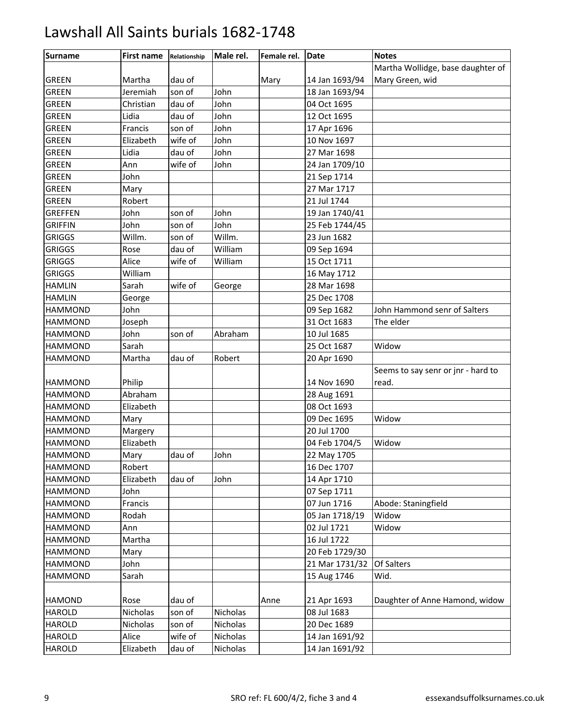| Surname        | <b>First name</b> | Relationship | Male rel. | Female rel. | <b>Date</b>    | <b>Notes</b>                       |
|----------------|-------------------|--------------|-----------|-------------|----------------|------------------------------------|
|                |                   |              |           |             |                | Martha Wollidge, base daughter of  |
| <b>GREEN</b>   | Martha            | dau of       |           | Mary        | 14 Jan 1693/94 | Mary Green, wid                    |
| <b>GREEN</b>   | Jeremiah          | son of       | John      |             | 18 Jan 1693/94 |                                    |
| <b>GREEN</b>   | Christian         | dau of       | John      |             | 04 Oct 1695    |                                    |
| <b>GREEN</b>   | Lidia             | dau of       | John      |             | 12 Oct 1695    |                                    |
| <b>GREEN</b>   | Francis           | son of       | John      |             | 17 Apr 1696    |                                    |
| <b>GREEN</b>   | Elizabeth         | wife of      | John      |             | 10 Nov 1697    |                                    |
| <b>GREEN</b>   | Lidia             | dau of       | John      |             | 27 Mar 1698    |                                    |
| <b>GREEN</b>   | Ann               | wife of      | John      |             | 24 Jan 1709/10 |                                    |
| <b>GREEN</b>   | John              |              |           |             | 21 Sep 1714    |                                    |
| <b>GREEN</b>   | Mary              |              |           |             | 27 Mar 1717    |                                    |
| <b>GREEN</b>   | Robert            |              |           |             | 21 Jul 1744    |                                    |
| <b>GREFFEN</b> | John              | son of       | John      |             | 19 Jan 1740/41 |                                    |
| <b>GRIFFIN</b> | John              | son of       | John      |             | 25 Feb 1744/45 |                                    |
| <b>GRIGGS</b>  | Willm.            | son of       | Willm.    |             | 23 Jun 1682    |                                    |
| <b>GRIGGS</b>  | Rose              | dau of       | William   |             | 09 Sep 1694    |                                    |
| <b>GRIGGS</b>  | Alice             | wife of      | William   |             | 15 Oct 1711    |                                    |
| <b>GRIGGS</b>  | William           |              |           |             | 16 May 1712    |                                    |
| <b>HAMLIN</b>  | Sarah             | wife of      | George    |             | 28 Mar 1698    |                                    |
| <b>HAMLIN</b>  | George            |              |           |             | 25 Dec 1708    |                                    |
| <b>HAMMOND</b> | John              |              |           |             | 09 Sep 1682    | John Hammond senr of Salters       |
| <b>HAMMOND</b> | Joseph            |              |           |             | 31 Oct 1683    | The elder                          |
| <b>HAMMOND</b> | John              | son of       | Abraham   |             | 10 Jul 1685    |                                    |
| <b>HAMMOND</b> | Sarah             |              |           |             | 25 Oct 1687    | Widow                              |
| <b>HAMMOND</b> | Martha            | dau of       | Robert    |             | 20 Apr 1690    |                                    |
|                |                   |              |           |             |                | Seems to say senr or jnr - hard to |
| <b>HAMMOND</b> | Philip            |              |           |             | 14 Nov 1690    | read.                              |
| <b>HAMMOND</b> | Abraham           |              |           |             | 28 Aug 1691    |                                    |
| <b>HAMMOND</b> | Elizabeth         |              |           |             | 08 Oct 1693    |                                    |
| <b>HAMMOND</b> | Mary              |              |           |             | 09 Dec 1695    | Widow                              |
| <b>HAMMOND</b> | Margery           |              |           |             | 20 Jul 1700    |                                    |
| <b>HAMMOND</b> | Elizabeth         |              |           |             | 04 Feb 1704/5  | Widow                              |
| <b>HAMMOND</b> | Mary              | dau of       | John      |             | 22 May 1705    |                                    |
| <b>HAMMOND</b> | Robert            |              |           |             | 16 Dec 1707    |                                    |
| <b>HAMMOND</b> | Elizabeth         | dau of       | John      |             | 14 Apr 1710    |                                    |
| <b>HAMMOND</b> | John              |              |           |             | 07 Sep 1711    |                                    |
| <b>HAMMOND</b> | Francis           |              |           |             | 07 Jun 1716    | Abode: Staningfield                |
| <b>HAMMOND</b> | Rodah             |              |           |             | 05 Jan 1718/19 | Widow                              |
| <b>HAMMOND</b> | Ann               |              |           |             | 02 Jul 1721    | Widow                              |
| <b>HAMMOND</b> | Martha            |              |           |             | 16 Jul 1722    |                                    |
| <b>HAMMOND</b> | Mary              |              |           |             | 20 Feb 1729/30 |                                    |
| <b>HAMMOND</b> | John              |              |           |             | 21 Mar 1731/32 | Of Salters                         |
| <b>HAMMOND</b> | Sarah             |              |           |             | 15 Aug 1746    | Wid.                               |
|                |                   |              |           |             |                |                                    |
| <b>HAMOND</b>  | Rose              | dau of       |           | Anne        | 21 Apr 1693    | Daughter of Anne Hamond, widow     |
| <b>HAROLD</b>  | Nicholas          | son of       | Nicholas  |             | 08 Jul 1683    |                                    |
| <b>HAROLD</b>  | Nicholas          | son of       | Nicholas  |             | 20 Dec 1689    |                                    |
| <b>HAROLD</b>  | Alice             | wife of      | Nicholas  |             | 14 Jan 1691/92 |                                    |
| <b>HAROLD</b>  | Elizabeth         | dau of       | Nicholas  |             | 14 Jan 1691/92 |                                    |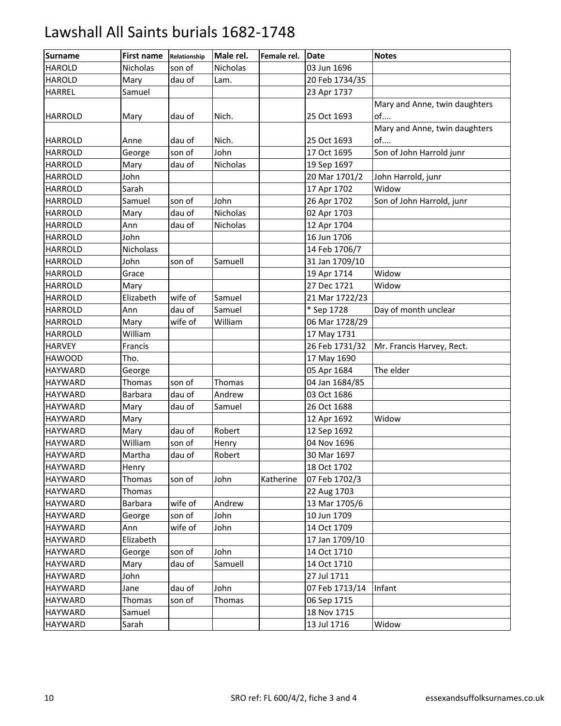| <b>Surname</b> | <b>First name</b> | Relationship | Male rel. | Female rel. | <b>Date</b>    | <b>Notes</b>                  |
|----------------|-------------------|--------------|-----------|-------------|----------------|-------------------------------|
| <b>HAROLD</b>  | Nicholas          | son of       | Nicholas  |             | 03 Jun 1696    |                               |
| <b>HAROLD</b>  | Mary              | dau of       | Lam.      |             | 20 Feb 1734/35 |                               |
| <b>HARREL</b>  | Samuel            |              |           |             | 23 Apr 1737    |                               |
|                |                   |              |           |             |                | Mary and Anne, twin daughters |
| <b>HARROLD</b> | Mary              | dau of       | Nich.     |             | 25 Oct 1693    | of                            |
|                |                   |              |           |             |                | Mary and Anne, twin daughters |
| <b>HARROLD</b> | Anne              | dau of       | Nich.     |             | 25 Oct 1693    | of                            |
| <b>HARROLD</b> | George            | son of       | John      |             | 17 Oct 1695    | Son of John Harrold junr      |
| <b>HARROLD</b> | Mary              | dau of       | Nicholas  |             | 19 Sep 1697    |                               |
| <b>HARROLD</b> | John              |              |           |             | 20 Mar 1701/2  | John Harrold, junr            |
| <b>HARROLD</b> | Sarah             |              |           |             | 17 Apr 1702    | Widow                         |
| <b>HARROLD</b> | Samuel            | son of       | John      |             | 26 Apr 1702    | Son of John Harrold, junr     |
| <b>HARROLD</b> | Mary              | dau of       | Nicholas  |             | 02 Apr 1703    |                               |
| <b>HARROLD</b> | Ann               | dau of       | Nicholas  |             | 12 Apr 1704    |                               |
| <b>HARROLD</b> | John              |              |           |             | 16 Jun 1706    |                               |
| <b>HARROLD</b> | Nicholass         |              |           |             | 14 Feb 1706/7  |                               |
| <b>HARROLD</b> | John              | son of       | Samuell   |             | 31 Jan 1709/10 |                               |
| <b>HARROLD</b> | Grace             |              |           |             | 19 Apr 1714    | Widow                         |
| <b>HARROLD</b> | Mary              |              |           |             | 27 Dec 1721    | Widow                         |
| <b>HARROLD</b> | Elizabeth         | wife of      | Samuel    |             | 21 Mar 1722/23 |                               |
| <b>HARROLD</b> | Ann               | dau of       | Samuel    |             | * Sep 1728     | Day of month unclear          |
| <b>HARROLD</b> | Mary              | wife of      | William   |             | 06 Mar 1728/29 |                               |
| <b>HARROLD</b> | William           |              |           |             | 17 May 1731    |                               |
| <b>HARVEY</b>  | Francis           |              |           |             | 26 Feb 1731/32 | Mr. Francis Harvey, Rect.     |
| <b>HAWOOD</b>  | Tho.              |              |           |             | 17 May 1690    |                               |
| <b>HAYWARD</b> | George            |              |           |             | 05 Apr 1684    | The elder                     |
| <b>HAYWARD</b> | Thomas            | son of       | Thomas    |             | 04 Jan 1684/85 |                               |
| <b>HAYWARD</b> | <b>Barbara</b>    | dau of       | Andrew    |             | 03 Oct 1686    |                               |
| <b>HAYWARD</b> | Mary              | dau of       | Samuel    |             | 26 Oct 1688    |                               |
| <b>HAYWARD</b> | Mary              |              |           |             | 12 Apr 1692    | Widow                         |
| <b>HAYWARD</b> | Mary              | dau of       | Robert    |             | 12 Sep 1692    |                               |
| <b>HAYWARD</b> | William           | son of       | Henry     |             | 04 Nov 1696    |                               |
| <b>HAYWARD</b> | Martha            | dau of       | Robert    |             | 30 Mar 1697    |                               |
| <b>HAYWARD</b> | Henry             |              |           |             | 18 Oct 1702    |                               |
| HAYWARD        | Thomas            | son of       | John      | Katherine   | 07 Feb 1702/3  |                               |
| <b>HAYWARD</b> | Thomas            |              |           |             | 22 Aug 1703    |                               |
| <b>HAYWARD</b> | Barbara           | wife of      | Andrew    |             | 13 Mar 1705/6  |                               |
| HAYWARD        | George            | son of       | John      |             | 10 Jun 1709    |                               |
| <b>HAYWARD</b> | Ann               | wife of      | John      |             | 14 Oct 1709    |                               |
| HAYWARD        | Elizabeth         |              |           |             | 17 Jan 1709/10 |                               |
| <b>HAYWARD</b> | George            | son of       | John      |             | 14 Oct 1710    |                               |
| HAYWARD        | Mary              | dau of       | Samuell   |             | 14 Oct 1710    |                               |
| HAYWARD        | John              |              |           |             | 27 Jul 1711    |                               |
| HAYWARD        | Jane              | dau of       | John      |             | 07 Feb 1713/14 | Infant                        |
| HAYWARD        | Thomas            | son of       | Thomas    |             | 06 Sep 1715    |                               |
| <b>HAYWARD</b> | Samuel            |              |           |             | 18 Nov 1715    |                               |
| <b>HAYWARD</b> | Sarah             |              |           |             | 13 Jul 1716    | Widow                         |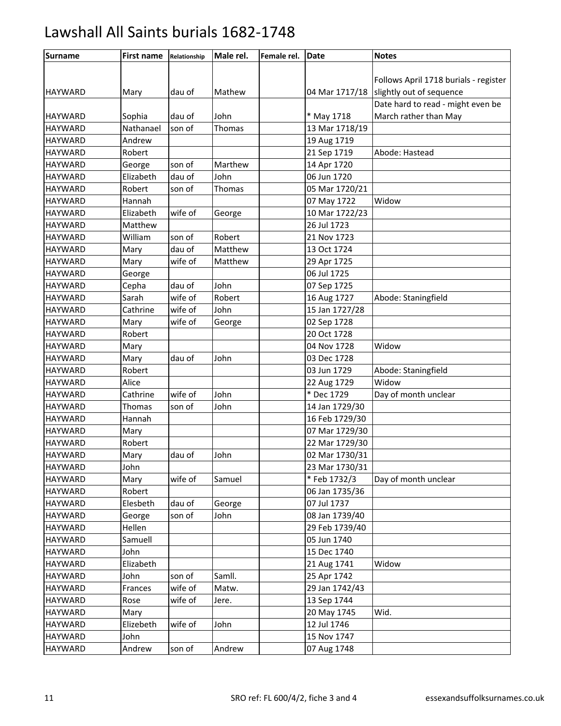| <b>Surname</b> | <b>First name</b> | Relationship | Male rel. | Female rel. | <b>Date</b>    | <b>Notes</b>                          |
|----------------|-------------------|--------------|-----------|-------------|----------------|---------------------------------------|
|                |                   |              |           |             |                |                                       |
|                |                   |              |           |             |                | Follows April 1718 burials - register |
| <b>HAYWARD</b> | Mary              | dau of       | Mathew    |             | 04 Mar 1717/18 | slightly out of sequence              |
|                |                   |              |           |             |                | Date hard to read - might even be     |
| <b>HAYWARD</b> | Sophia            | dau of       | John      |             | * May 1718     | March rather than May                 |
| <b>HAYWARD</b> | Nathanael         | son of       | Thomas    |             | 13 Mar 1718/19 |                                       |
| <b>HAYWARD</b> | Andrew            |              |           |             | 19 Aug 1719    |                                       |
| <b>HAYWARD</b> | Robert            |              |           |             | 21 Sep 1719    | Abode: Hastead                        |
| <b>HAYWARD</b> | George            | son of       | Marthew   |             | 14 Apr 1720    |                                       |
| <b>HAYWARD</b> | Elizabeth         | dau of       | John      |             | 06 Jun 1720    |                                       |
| <b>HAYWARD</b> | Robert            | son of       | Thomas    |             | 05 Mar 1720/21 |                                       |
| <b>HAYWARD</b> | Hannah            |              |           |             | 07 May 1722    | Widow                                 |
| <b>HAYWARD</b> | Elizabeth         | wife of      | George    |             | 10 Mar 1722/23 |                                       |
| <b>HAYWARD</b> | Matthew           |              |           |             | 26 Jul 1723    |                                       |
| <b>HAYWARD</b> | William           | son of       | Robert    |             | 21 Nov 1723    |                                       |
| <b>HAYWARD</b> | Mary              | dau of       | Matthew   |             | 13 Oct 1724    |                                       |
| <b>HAYWARD</b> | Mary              | wife of      | Matthew   |             | 29 Apr 1725    |                                       |
| <b>HAYWARD</b> | George            |              |           |             | 06 Jul 1725    |                                       |
| <b>HAYWARD</b> | Cepha             | dau of       | John      |             | 07 Sep 1725    |                                       |
| <b>HAYWARD</b> | Sarah             | wife of      | Robert    |             | 16 Aug 1727    | Abode: Staningfield                   |
| <b>HAYWARD</b> | Cathrine          | wife of      | John      |             | 15 Jan 1727/28 |                                       |
| <b>HAYWARD</b> | Mary              | wife of      | George    |             | 02 Sep 1728    |                                       |
| <b>HAYWARD</b> | Robert            |              |           |             | 20 Oct 1728    |                                       |
| <b>HAYWARD</b> | Mary              |              |           |             | 04 Nov 1728    | Widow                                 |
| <b>HAYWARD</b> | Mary              | dau of       | John      |             | 03 Dec 1728    |                                       |
| <b>HAYWARD</b> | Robert            |              |           |             | 03 Jun 1729    | Abode: Staningfield                   |
| <b>HAYWARD</b> | Alice             |              |           |             | 22 Aug 1729    | Widow                                 |
| <b>HAYWARD</b> | Cathrine          | wife of      | John      |             | $*$ Dec 1729   | Day of month unclear                  |
| <b>HAYWARD</b> | Thomas            | son of       | John      |             | 14 Jan 1729/30 |                                       |
| <b>HAYWARD</b> | Hannah            |              |           |             | 16 Feb 1729/30 |                                       |
| <b>HAYWARD</b> | Mary              |              |           |             | 07 Mar 1729/30 |                                       |
| <b>HAYWARD</b> | Robert            |              |           |             | 22 Mar 1729/30 |                                       |
| <b>HAYWARD</b> | Mary              | dau of       | John      |             | 02 Mar 1730/31 |                                       |
| <b>HAYWARD</b> | John              |              |           |             | 23 Mar 1730/31 |                                       |
| <b>HAYWARD</b> | Mary              | wife of      | Samuel    |             | * Feb 1732/3   | Day of month unclear                  |
| <b>HAYWARD</b> | Robert            |              |           |             | 06 Jan 1735/36 |                                       |
| <b>HAYWARD</b> | Elesbeth          | dau of       | George    |             | 07 Jul 1737    |                                       |
| <b>HAYWARD</b> | George            | son of       | John      |             | 08 Jan 1739/40 |                                       |
| <b>HAYWARD</b> | Hellen            |              |           |             | 29 Feb 1739/40 |                                       |
| <b>HAYWARD</b> | Samuell           |              |           |             | 05 Jun 1740    |                                       |
| <b>HAYWARD</b> | John              |              |           |             | 15 Dec 1740    |                                       |
| <b>HAYWARD</b> | Elizabeth         |              |           |             | 21 Aug 1741    | Widow                                 |
| <b>HAYWARD</b> | John              | son of       | Samll.    |             | 25 Apr 1742    |                                       |
| <b>HAYWARD</b> | Frances           | wife of      | Matw.     |             | 29 Jan 1742/43 |                                       |
| <b>HAYWARD</b> | Rose              | wife of      | Jere.     |             | 13 Sep 1744    |                                       |
| <b>HAYWARD</b> | Mary              |              |           |             | 20 May 1745    | Wid.                                  |
| <b>HAYWARD</b> | Elizebeth         | wife of      | John      |             | 12 Jul 1746    |                                       |
| <b>HAYWARD</b> | John              |              |           |             | 15 Nov 1747    |                                       |
| <b>HAYWARD</b> | Andrew            | son of       | Andrew    |             | 07 Aug 1748    |                                       |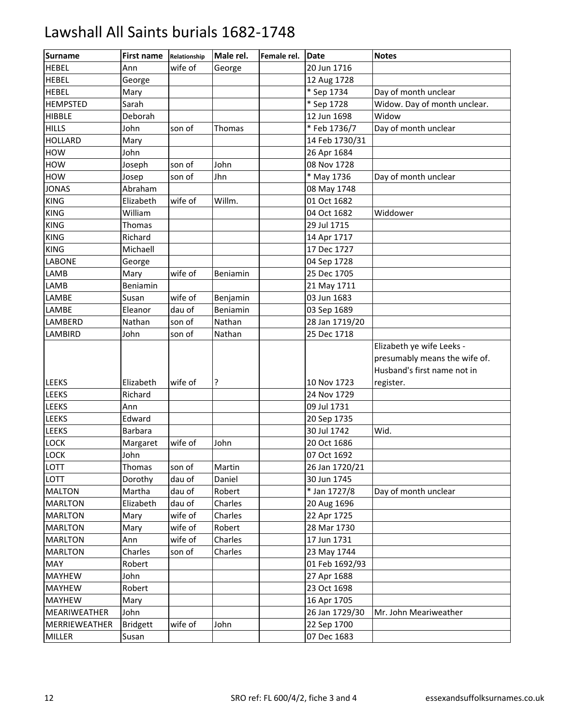| Surname         | First name      | Relationship | Male rel. | Female rel. | <b>Date</b>    | <b>Notes</b>                  |
|-----------------|-----------------|--------------|-----------|-------------|----------------|-------------------------------|
| <b>HEBEL</b>    | Ann             | wife of      | George    |             | 20 Jun 1716    |                               |
| <b>HEBEL</b>    | George          |              |           |             | 12 Aug 1728    |                               |
| <b>HEBEL</b>    | Mary            |              |           |             | * Sep 1734     | Day of month unclear          |
| <b>HEMPSTED</b> | Sarah           |              |           |             | * Sep 1728     | Widow. Day of month unclear.  |
| <b>HIBBLE</b>   | Deborah         |              |           |             | 12 Jun 1698    | Widow                         |
| <b>HILLS</b>    | John            | son of       | Thomas    |             | * Feb 1736/7   | Day of month unclear          |
| <b>HOLLARD</b>  | Mary            |              |           |             | 14 Feb 1730/31 |                               |
| <b>HOW</b>      | John            |              |           |             | 26 Apr 1684    |                               |
| <b>HOW</b>      | Joseph          | son of       | John      |             | 08 Nov 1728    |                               |
| HOW             | Josep           | son of       | Jhn       |             | * May 1736     | Day of month unclear          |
| <b>JONAS</b>    | Abraham         |              |           |             | 08 May 1748    |                               |
| <b>KING</b>     | Elizabeth       | wife of      | Willm.    |             | 01 Oct 1682    |                               |
| <b>KING</b>     | William         |              |           |             | 04 Oct 1682    | Widdower                      |
| <b>KING</b>     | Thomas          |              |           |             | 29 Jul 1715    |                               |
| <b>KING</b>     | Richard         |              |           |             | 14 Apr 1717    |                               |
| <b>KING</b>     | Michaell        |              |           |             | 17 Dec 1727    |                               |
| LABONE          | George          |              |           |             | 04 Sep 1728    |                               |
| LAMB            | Mary            | wife of      | Beniamin  |             | 25 Dec 1705    |                               |
| LAMB            | Beniamin        |              |           |             | 21 May 1711    |                               |
| LAMBE           | Susan           | wife of      | Benjamin  |             | 03 Jun 1683    |                               |
| LAMBE           | Eleanor         | dau of       | Beniamin  |             | 03 Sep 1689    |                               |
| LAMBERD         | Nathan          | son of       | Nathan    |             | 28 Jan 1719/20 |                               |
| LAMBIRD         | John            | son of       | Nathan    |             | 25 Dec 1718    |                               |
|                 |                 |              |           |             |                | Elizabeth ye wife Leeks -     |
|                 |                 |              |           |             |                | presumably means the wife of. |
|                 |                 |              |           |             |                | Husband's first name not in   |
| <b>LEEKS</b>    | Elizabeth       | wife of      | ?         |             | 10 Nov 1723    | register.                     |
| <b>LEEKS</b>    | Richard         |              |           |             | 24 Nov 1729    |                               |
| <b>LEEKS</b>    | Ann             |              |           |             | 09 Jul 1731    |                               |
| LEEKS           | Edward          |              |           |             | 20 Sep 1735    |                               |
| <b>LEEKS</b>    | <b>Barbara</b>  |              |           |             | 30 Jul 1742    | Wid.                          |
| LOCK            | Margaret        | wife of      | John      |             | 20 Oct 1686    |                               |
| <b>LOCK</b>     | John            |              |           |             | 07 Oct 1692    |                               |
| LOTT            | Thomas          | son of       | Martin    |             | 26 Jan 1720/21 |                               |
| LOTT            | Dorothy         | dau of       | Daniel    |             | 30 Jun 1745    |                               |
| <b>MALTON</b>   | Martha          | dau of       | Robert    |             | * Jan 1727/8   | Day of month unclear          |
| <b>MARLTON</b>  | Elizabeth       | dau of       | Charles   |             | 20 Aug 1696    |                               |
| <b>MARLTON</b>  | Mary            | wife of      | Charles   |             | 22 Apr 1725    |                               |
| <b>MARLTON</b>  | Mary            | wife of      | Robert    |             | 28 Mar 1730    |                               |
| <b>MARLTON</b>  | Ann             | wife of      | Charles   |             | 17 Jun 1731    |                               |
| <b>MARLTON</b>  | Charles         | son of       | Charles   |             | 23 May 1744    |                               |
| MAY             | Robert          |              |           |             | 01 Feb 1692/93 |                               |
| <b>MAYHEW</b>   | John            |              |           |             | 27 Apr 1688    |                               |
| <b>MAYHEW</b>   | Robert          |              |           |             | 23 Oct 1698    |                               |
| <b>MAYHEW</b>   | Mary            |              |           |             | 16 Apr 1705    |                               |
| MEARIWEATHER    | John            |              |           |             | 26 Jan 1729/30 | Mr. John Meariweather         |
| MERRIEWEATHER   | <b>Bridgett</b> | wife of      | John      |             | 22 Sep 1700    |                               |
| MILLER          | Susan           |              |           |             | 07 Dec 1683    |                               |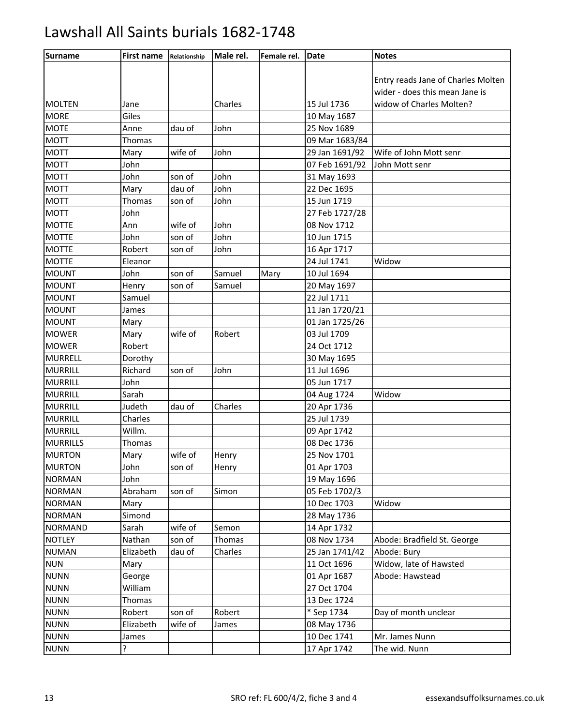| <b>Surname</b>  | <b>First name</b> | Relationship | Male rel. | Female rel. | <b>Date</b>    | <b>Notes</b>                       |
|-----------------|-------------------|--------------|-----------|-------------|----------------|------------------------------------|
|                 |                   |              |           |             |                |                                    |
|                 |                   |              |           |             |                | Entry reads Jane of Charles Molten |
|                 |                   |              |           |             |                | wider - does this mean Jane is     |
| <b>MOLTEN</b>   | Jane              |              | Charles   |             | 15 Jul 1736    | widow of Charles Molten?           |
| <b>MORE</b>     | Giles             |              |           |             | 10 May 1687    |                                    |
| <b>MOTE</b>     | Anne              | dau of       | John      |             | 25 Nov 1689    |                                    |
| <b>MOTT</b>     | Thomas            |              |           |             | 09 Mar 1683/84 |                                    |
| <b>MOTT</b>     | Mary              | wife of      | John      |             | 29 Jan 1691/92 | Wife of John Mott senr             |
| <b>MOTT</b>     | John              |              |           |             | 07 Feb 1691/92 | John Mott senr                     |
| <b>MOTT</b>     | John              | son of       | John      |             | 31 May 1693    |                                    |
| <b>MOTT</b>     | Mary              | dau of       | John      |             | 22 Dec 1695    |                                    |
| <b>MOTT</b>     | Thomas            | son of       | John      |             | 15 Jun 1719    |                                    |
| <b>MOTT</b>     | John              |              |           |             | 27 Feb 1727/28 |                                    |
| <b>MOTTE</b>    | Ann               | wife of      | John      |             | 08 Nov 1712    |                                    |
| <b>MOTTE</b>    | John              | son of       | John      |             | 10 Jun 1715    |                                    |
| <b>MOTTE</b>    | Robert            | son of       | John      |             | 16 Apr 1717    |                                    |
| <b>MOTTE</b>    | Eleanor           |              |           |             | 24 Jul 1741    | Widow                              |
| <b>MOUNT</b>    | John              | son of       | Samuel    | Mary        | 10 Jul 1694    |                                    |
| <b>MOUNT</b>    | Henry             | son of       | Samuel    |             | 20 May 1697    |                                    |
| <b>MOUNT</b>    | Samuel            |              |           |             | 22 Jul 1711    |                                    |
| <b>MOUNT</b>    | James             |              |           |             | 11 Jan 1720/21 |                                    |
| <b>MOUNT</b>    | Mary              |              |           |             | 01 Jan 1725/26 |                                    |
| <b>MOWER</b>    | Mary              | wife of      | Robert    |             | 03 Jul 1709    |                                    |
| <b>MOWER</b>    | Robert            |              |           |             | 24 Oct 1712    |                                    |
| <b>MURRELL</b>  | Dorothy           |              |           |             | 30 May 1695    |                                    |
| <b>MURRILL</b>  | Richard           | son of       | John      |             | 11 Jul 1696    |                                    |
| <b>MURRILL</b>  | John              |              |           |             | 05 Jun 1717    |                                    |
| <b>MURRILL</b>  | Sarah             |              |           |             | 04 Aug 1724    | Widow                              |
| <b>MURRILL</b>  | Judeth            | dau of       | Charles   |             | 20 Apr 1736    |                                    |
| <b>MURRILL</b>  | Charles           |              |           |             | 25 Jul 1739    |                                    |
| <b>MURRILL</b>  | Willm.            |              |           |             | 09 Apr 1742    |                                    |
| <b>MURRILLS</b> | Thomas            |              |           |             | 08 Dec 1736    |                                    |
| <b>MURTON</b>   | Mary              | wife of      | Henry     |             | 25 Nov 1701    |                                    |
| <b>MURTON</b>   | John              | son of       | Henry     |             | 01 Apr 1703    |                                    |
| <b>NORMAN</b>   | John              |              |           |             | 19 May 1696    |                                    |
| <b>NORMAN</b>   | Abraham           | son of       | Simon     |             | 05 Feb 1702/3  |                                    |
| <b>NORMAN</b>   | Mary              |              |           |             | 10 Dec 1703    | Widow                              |
| <b>NORMAN</b>   | Simond            |              |           |             | 28 May 1736    |                                    |
| <b>NORMAND</b>  | Sarah             | wife of      | Semon     |             | 14 Apr 1732    |                                    |
| <b>NOTLEY</b>   | Nathan            | son of       | Thomas    |             | 08 Nov 1734    | Abode: Bradfield St. George        |
| <b>NUMAN</b>    | Elizabeth         | dau of       | Charles   |             | 25 Jan 1741/42 | Abode: Bury                        |
| <b>NUN</b>      | Mary              |              |           |             | 11 Oct 1696    | Widow, late of Hawsted             |
| <b>NUNN</b>     | George            |              |           |             | 01 Apr 1687    | Abode: Hawstead                    |
| <b>NUNN</b>     | William           |              |           |             | 27 Oct 1704    |                                    |
| <b>NUNN</b>     | <b>Thomas</b>     |              |           |             | 13 Dec 1724    |                                    |
| <b>NUNN</b>     | Robert            | son of       | Robert    |             | * Sep 1734     | Day of month unclear               |
| <b>NUNN</b>     | Elizabeth         | wife of      | James     |             | 08 May 1736    |                                    |
| <b>NUNN</b>     | James             |              |           |             | 10 Dec 1741    | Mr. James Nunn                     |
| <b>NUNN</b>     | ŗ                 |              |           |             | 17 Apr 1742    | The wid. Nunn                      |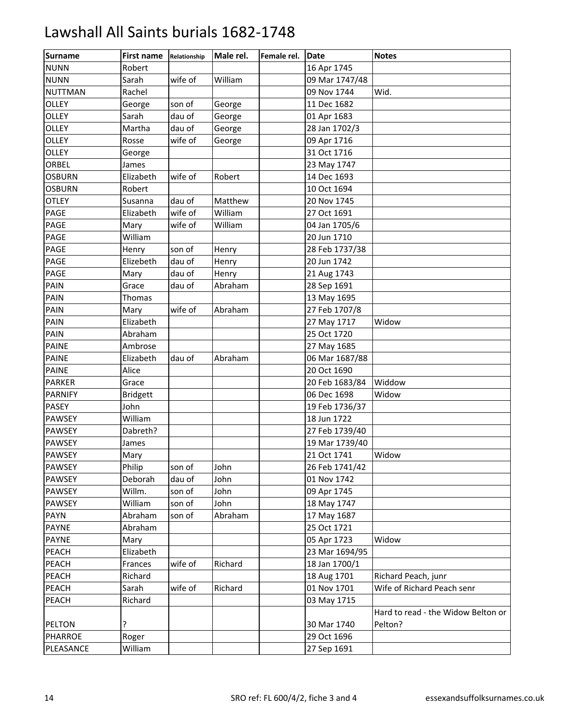| <b>Surname</b> | <b>First name</b> | Relationship | Male rel. | Female rel. | <b>Date</b>    | <b>Notes</b>                       |
|----------------|-------------------|--------------|-----------|-------------|----------------|------------------------------------|
| <b>NUNN</b>    | Robert            |              |           |             | 16 Apr 1745    |                                    |
| <b>NUNN</b>    | Sarah             | wife of      | William   |             | 09 Mar 1747/48 |                                    |
| <b>NUTTMAN</b> | Rachel            |              |           |             | 09 Nov 1744    | Wid.                               |
| <b>OLLEY</b>   | George            | son of       | George    |             | 11 Dec 1682    |                                    |
| <b>OLLEY</b>   | Sarah             | dau of       | George    |             | 01 Apr 1683    |                                    |
| <b>OLLEY</b>   | Martha            | dau of       | George    |             | 28 Jan 1702/3  |                                    |
| <b>OLLEY</b>   | Rosse             | wife of      | George    |             | 09 Apr 1716    |                                    |
| OLLEY          | George            |              |           |             | 31 Oct 1716    |                                    |
| ORBEL          | James             |              |           |             | 23 May 1747    |                                    |
| <b>OSBURN</b>  | Elizabeth         | wife of      | Robert    |             | 14 Dec 1693    |                                    |
| <b>OSBURN</b>  | Robert            |              |           |             | 10 Oct 1694    |                                    |
| <b>OTLEY</b>   | Susanna           | dau of       | Matthew   |             | 20 Nov 1745    |                                    |
| PAGE           | Elizabeth         | wife of      | William   |             | 27 Oct 1691    |                                    |
| PAGE           | Mary              | wife of      | William   |             | 04 Jan 1705/6  |                                    |
| PAGE           | William           |              |           |             | 20 Jun 1710    |                                    |
| PAGE           | Henry             | son of       | Henry     |             | 28 Feb 1737/38 |                                    |
| PAGE           | Elizebeth         | dau of       | Henry     |             | 20 Jun 1742    |                                    |
| <b>PAGE</b>    | Mary              | dau of       | Henry     |             | 21 Aug 1743    |                                    |
| PAIN           | Grace             | dau of       | Abraham   |             | 28 Sep 1691    |                                    |
| PAIN           | <b>Thomas</b>     |              |           |             | 13 May 1695    |                                    |
| PAIN           | Mary              | wife of      | Abraham   |             | 27 Feb 1707/8  |                                    |
| PAIN           | Elizabeth         |              |           |             | 27 May 1717    | Widow                              |
| <b>PAIN</b>    | Abraham           |              |           |             | 25 Oct 1720    |                                    |
| <b>PAINE</b>   | Ambrose           |              |           |             | 27 May 1685    |                                    |
| <b>PAINE</b>   | Elizabeth         | dau of       | Abraham   |             | 06 Mar 1687/88 |                                    |
| <b>PAINE</b>   | Alice             |              |           |             | 20 Oct 1690    |                                    |
| <b>PARKER</b>  | Grace             |              |           |             | 20 Feb 1683/84 | Widdow                             |
| <b>PARNIFY</b> | <b>Bridgett</b>   |              |           |             | 06 Dec 1698    | Widow                              |
| PASEY          | John              |              |           |             | 19 Feb 1736/37 |                                    |
| <b>PAWSEY</b>  | William           |              |           |             | 18 Jun 1722    |                                    |
| <b>PAWSEY</b>  | Dabreth?          |              |           |             | 27 Feb 1739/40 |                                    |
| <b>PAWSEY</b>  | James             |              |           |             | 19 Mar 1739/40 |                                    |
| <b>PAWSEY</b>  | Mary              |              |           |             | 21 Oct 1741    | Widow                              |
| PAWSEY         | Philip            | son of       | John      |             | 26 Feb 1741/42 |                                    |
| PAWSEY         | Deborah           | dau of       | John      |             | 01 Nov 1742    |                                    |
| <b>PAWSEY</b>  | Willm.            | son of       | John      |             | 09 Apr 1745    |                                    |
| <b>PAWSEY</b>  | William           | son of       | John      |             | 18 May 1747    |                                    |
| <b>PAYN</b>    | Abraham           | son of       | Abraham   |             | 17 May 1687    |                                    |
| <b>PAYNE</b>   | Abraham           |              |           |             | 25 Oct 1721    |                                    |
| PAYNE          | Mary              |              |           |             | 05 Apr 1723    | Widow                              |
| PEACH          | Elizabeth         |              |           |             | 23 Mar 1694/95 |                                    |
| PEACH          | Frances           | wife of      | Richard   |             | 18 Jan 1700/1  |                                    |
| PEACH          | Richard           |              |           |             | 18 Aug 1701    | Richard Peach, junr                |
| PEACH          | Sarah             | wife of      | Richard   |             | 01 Nov 1701    | Wife of Richard Peach senr         |
| PEACH          | Richard           |              |           |             | 03 May 1715    |                                    |
|                |                   |              |           |             |                | Hard to read - the Widow Belton or |
| PELTON         | ?                 |              |           |             | 30 Mar 1740    | Pelton?                            |
| <b>PHARROE</b> | Roger             |              |           |             | 29 Oct 1696    |                                    |
| PLEASANCE      | William           |              |           |             | 27 Sep 1691    |                                    |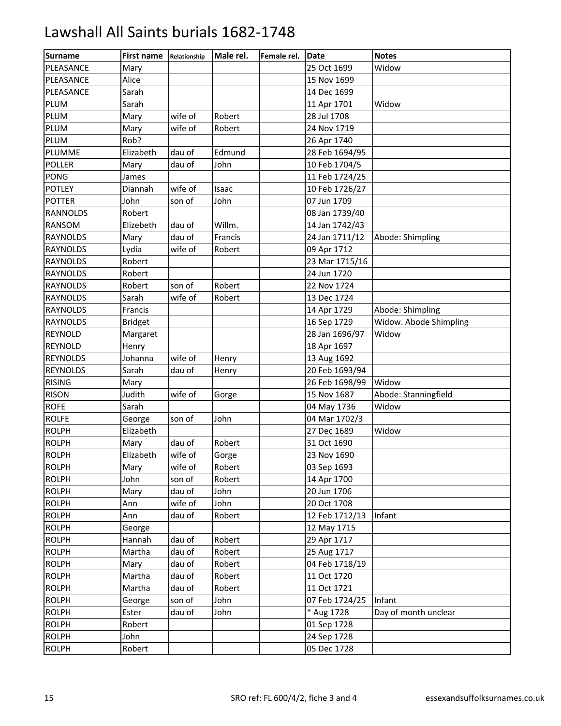| <b>Surname</b>  | First name     | Relationship | Male rel. | Female rel. | <b>IDate</b>   | <b>Notes</b>           |
|-----------------|----------------|--------------|-----------|-------------|----------------|------------------------|
| PLEASANCE       | Mary           |              |           |             | 25 Oct 1699    | Widow                  |
| PLEASANCE       | Alice          |              |           |             | 15 Nov 1699    |                        |
| PLEASANCE       | Sarah          |              |           |             | 14 Dec 1699    |                        |
| PLUM            | Sarah          |              |           |             | 11 Apr 1701    | Widow                  |
| <b>PLUM</b>     | Mary           | wife of      | Robert    |             | 28 Jul 1708    |                        |
| PLUM            | Mary           | wife of      | Robert    |             | 24 Nov 1719    |                        |
| <b>PLUM</b>     | Rob?           |              |           |             | 26 Apr 1740    |                        |
| PLUMME          | Elizabeth      | dau of       | Edmund    |             | 28 Feb 1694/95 |                        |
| <b>POLLER</b>   | Mary           | dau of       | John      |             | 10 Feb 1704/5  |                        |
| PONG            | James          |              |           |             | 11 Feb 1724/25 |                        |
| <b>POTLEY</b>   | Diannah        | wife of      | Isaac     |             | 10 Feb 1726/27 |                        |
| <b>POTTER</b>   | John           | son of       | John      |             | 07 Jun 1709    |                        |
| <b>RANNOLDS</b> | Robert         |              |           |             | 08 Jan 1739/40 |                        |
| RANSOM          | Elizebeth      | dau of       | Willm.    |             | 14 Jan 1742/43 |                        |
| <b>RAYNOLDS</b> | Mary           | dau of       | Francis   |             | 24 Jan 1711/12 | Abode: Shimpling       |
| <b>RAYNOLDS</b> | Lydia          | wife of      | Robert    |             | 09 Apr 1712    |                        |
| <b>RAYNOLDS</b> | Robert         |              |           |             | 23 Mar 1715/16 |                        |
| <b>RAYNOLDS</b> | Robert         |              |           |             | 24 Jun 1720    |                        |
| <b>RAYNOLDS</b> | Robert         | son of       | Robert    |             | 22 Nov 1724    |                        |
| <b>RAYNOLDS</b> | Sarah          | wife of      | Robert    |             | 13 Dec 1724    |                        |
| <b>RAYNOLDS</b> | Francis        |              |           |             | 14 Apr 1729    | Abode: Shimpling       |
| <b>RAYNOLDS</b> | <b>Bridget</b> |              |           |             | 16 Sep 1729    | Widow. Abode Shimpling |
| REYNOLD         | Margaret       |              |           |             | 28 Jan 1696/97 | Widow                  |
| REYNOLD         | Henry          |              |           |             | 18 Apr 1697    |                        |
| <b>REYNOLDS</b> | Johanna        | wife of      | Henry     |             | 13 Aug 1692    |                        |
| <b>REYNOLDS</b> | Sarah          | dau of       | Henry     |             | 20 Feb 1693/94 |                        |
| <b>RISING</b>   | Mary           |              |           |             | 26 Feb 1698/99 | Widow                  |
| <b>RISON</b>    | Judith         | wife of      | Gorge     |             | 15 Nov 1687    | Abode: Stanningfield   |
| <b>ROFE</b>     | Sarah          |              |           |             | 04 May 1736    | Widow                  |
| <b>ROLFE</b>    | George         | son of       | John      |             | 04 Mar 1702/3  |                        |
| <b>ROLPH</b>    | Elizabeth      |              |           |             | 27 Dec 1689    | Widow                  |
| <b>ROLPH</b>    | Mary           | dau of       | Robert    |             | 31 Oct 1690    |                        |
| <b>ROLPH</b>    | Elizabeth      | wife of      | Gorge     |             | 23 Nov 1690    |                        |
| <b>ROLPH</b>    | Mary           | wife of      | Robert    |             | 03 Sep 1693    |                        |
| <b>ROLPH</b>    | John           | son of       | Robert    |             | 14 Apr 1700    |                        |
| <b>ROLPH</b>    | Mary           | dau of       | John      |             | 20 Jun 1706    |                        |
| <b>ROLPH</b>    | Ann            | wife of      | John      |             | 20 Oct 1708    |                        |
| <b>ROLPH</b>    | Ann            | dau of       | Robert    |             | 12 Feb 1712/13 | Infant                 |
| <b>ROLPH</b>    | George         |              |           |             | 12 May 1715    |                        |
| <b>ROLPH</b>    | Hannah         | dau of       | Robert    |             | 29 Apr 1717    |                        |
| <b>ROLPH</b>    | Martha         | dau of       | Robert    |             | 25 Aug 1717    |                        |
| <b>ROLPH</b>    | Mary           | dau of       | Robert    |             | 04 Feb 1718/19 |                        |
| <b>ROLPH</b>    | Martha         | dau of       | Robert    |             | 11 Oct 1720    |                        |
| <b>ROLPH</b>    | Martha         | dau of       | Robert    |             | 11 Oct 1721    |                        |
| <b>ROLPH</b>    | George         | son of       | John      |             | 07 Feb 1724/25 | Infant                 |
| <b>ROLPH</b>    | Ester          | dau of       | John      |             | * Aug 1728     | Day of month unclear   |
| <b>ROLPH</b>    | Robert         |              |           |             | 01 Sep 1728    |                        |
| <b>ROLPH</b>    | John           |              |           |             | 24 Sep 1728    |                        |
| <b>ROLPH</b>    | Robert         |              |           |             | 05 Dec 1728    |                        |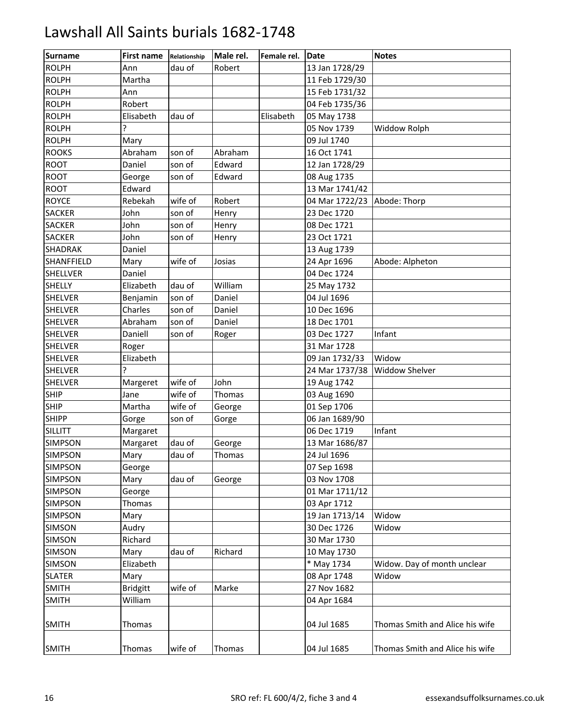| <b>Surname</b>    | First name      | Relationship | Male rel. | Female rel. | Date           | <b>Notes</b>                    |
|-------------------|-----------------|--------------|-----------|-------------|----------------|---------------------------------|
| <b>ROLPH</b>      | Ann             | dau of       | Robert    |             | 13 Jan 1728/29 |                                 |
| <b>ROLPH</b>      | Martha          |              |           |             | 11 Feb 1729/30 |                                 |
| <b>ROLPH</b>      | Ann             |              |           |             | 15 Feb 1731/32 |                                 |
| <b>ROLPH</b>      | Robert          |              |           |             | 04 Feb 1735/36 |                                 |
| <b>ROLPH</b>      | Elisabeth       | dau of       |           | Elisabeth   | 05 May 1738    |                                 |
| <b>ROLPH</b>      | ?               |              |           |             | 05 Nov 1739    | Widdow Rolph                    |
| <b>ROLPH</b>      | Mary            |              |           |             | 09 Jul 1740    |                                 |
| <b>ROOKS</b>      | Abraham         | son of       | Abraham   |             | 16 Oct 1741    |                                 |
| ROOT              | Daniel          | son of       | Edward    |             | 12 Jan 1728/29 |                                 |
| ROOT              | George          | son of       | Edward    |             | 08 Aug 1735    |                                 |
| ROOT              | Edward          |              |           |             | 13 Mar 1741/42 |                                 |
| <b>ROYCE</b>      | Rebekah         | wife of      | Robert    |             | 04 Mar 1722/23 | Abode: Thorp                    |
| <b>SACKER</b>     | John            | son of       | Henry     |             | 23 Dec 1720    |                                 |
| <b>SACKER</b>     | John            | son of       | Henry     |             | 08 Dec 1721    |                                 |
| <b>SACKER</b>     | John            | son of       | Henry     |             | 23 Oct 1721    |                                 |
| <b>SHADRAK</b>    | Daniel          |              |           |             | 13 Aug 1739    |                                 |
| <b>SHANFFIELD</b> | Mary            | wife of      | Josias    |             | 24 Apr 1696    | Abode: Alpheton                 |
| <b>SHELLVER</b>   | Daniel          |              |           |             | 04 Dec 1724    |                                 |
| <b>SHELLY</b>     | Elizabeth       | dau of       | William   |             | 25 May 1732    |                                 |
| <b>SHELVER</b>    | Benjamin        | son of       | Daniel    |             | 04 Jul 1696    |                                 |
| <b>SHELVER</b>    | Charles         | son of       | Daniel    |             | 10 Dec 1696    |                                 |
| <b>SHELVER</b>    | Abraham         | son of       | Daniel    |             | 18 Dec 1701    |                                 |
| <b>SHELVER</b>    | Daniell         | son of       | Roger     |             | 03 Dec 1727    | Infant                          |
| <b>SHELVER</b>    | Roger           |              |           |             | 31 Mar 1728    |                                 |
| <b>SHELVER</b>    | Elizabeth       |              |           |             | 09 Jan 1732/33 | Widow                           |
| <b>SHELVER</b>    | Ç               |              |           |             | 24 Mar 1737/38 | Widdow Shelver                  |
| <b>SHELVER</b>    | Margeret        | wife of      | John      |             | 19 Aug 1742    |                                 |
| <b>SHIP</b>       | Jane            | wife of      | Thomas    |             | 03 Aug 1690    |                                 |
| <b>SHIP</b>       | Martha          | wife of      | George    |             | 01 Sep 1706    |                                 |
| <b>SHIPP</b>      | Gorge           | son of       | Gorge     |             | 06 Jan 1689/90 |                                 |
| <b>SILLITT</b>    | Margaret        |              |           |             | 06 Dec 1719    | Infant                          |
| <b>SIMPSON</b>    | Margaret        | dau of       | George    |             | 13 Mar 1686/87 |                                 |
| <b>SIMPSON</b>    | Mary            | dau of       | Thomas    |             | 24 Jul 1696    |                                 |
| <b>SIMPSON</b>    | George          |              |           |             | 07 Sep 1698    |                                 |
| <b>SIMPSON</b>    | Mary            | dau of       | George    |             | 03 Nov 1708    |                                 |
| <b>SIMPSON</b>    | George          |              |           |             | 01 Mar 1711/12 |                                 |
| <b>SIMPSON</b>    | <b>Thomas</b>   |              |           |             | 03 Apr 1712    |                                 |
| <b>SIMPSON</b>    | Mary            |              |           |             | 19 Jan 1713/14 | Widow                           |
| <b>SIMSON</b>     | Audry           |              |           |             | 30 Dec 1726    | Widow                           |
| <b>SIMSON</b>     | Richard         |              |           |             | 30 Mar 1730    |                                 |
| <b>SIMSON</b>     | Mary            | dau of       | Richard   |             | 10 May 1730    |                                 |
| <b>SIMSON</b>     | Elizabeth       |              |           |             | * May 1734     | Widow. Day of month unclear     |
| <b>SLATER</b>     | Mary            |              |           |             | 08 Apr 1748    | Widow                           |
| <b>SMITH</b>      | <b>Bridgitt</b> | wife of      | Marke     |             | 27 Nov 1682    |                                 |
| <b>SMITH</b>      | William         |              |           |             | 04 Apr 1684    |                                 |
|                   |                 |              |           |             |                |                                 |
| <b>SMITH</b>      | <b>Thomas</b>   |              |           |             | 04 Jul 1685    | Thomas Smith and Alice his wife |
| <b>SMITH</b>      | Thomas          | wife of      | Thomas    |             | 04 Jul 1685    | Thomas Smith and Alice his wife |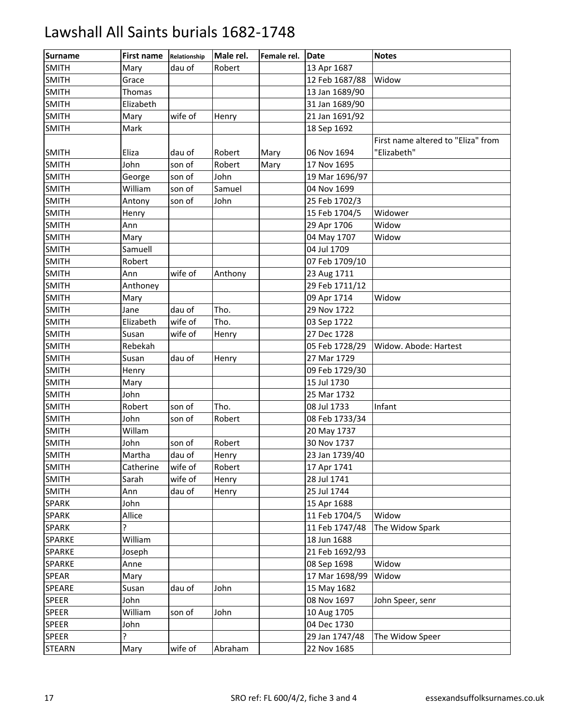| <b>Surname</b> | <b>First name</b> | Relationship | Male rel. | Female rel. | Date           | <b>Notes</b>                       |
|----------------|-------------------|--------------|-----------|-------------|----------------|------------------------------------|
| <b>SMITH</b>   | Mary              | dau of       | Robert    |             | 13 Apr 1687    |                                    |
| <b>SMITH</b>   | Grace             |              |           |             | 12 Feb 1687/88 | Widow                              |
| <b>SMITH</b>   | Thomas            |              |           |             | 13 Jan 1689/90 |                                    |
| <b>SMITH</b>   | Elizabeth         |              |           |             | 31 Jan 1689/90 |                                    |
| <b>SMITH</b>   | Mary              | wife of      | Henry     |             | 21 Jan 1691/92 |                                    |
| <b>SMITH</b>   | Mark              |              |           |             | 18 Sep 1692    |                                    |
|                |                   |              |           |             |                | First name altered to "Eliza" from |
| <b>SMITH</b>   | Eliza             | dau of       | Robert    | Mary        | 06 Nov 1694    | "Elizabeth"                        |
| <b>SMITH</b>   | John              | son of       | Robert    | Mary        | 17 Nov 1695    |                                    |
| <b>SMITH</b>   | George            | son of       | John      |             | 19 Mar 1696/97 |                                    |
| <b>SMITH</b>   | William           | son of       | Samuel    |             | 04 Nov 1699    |                                    |
| <b>SMITH</b>   | Antony            | son of       | John      |             | 25 Feb 1702/3  |                                    |
| <b>SMITH</b>   | Henry             |              |           |             | 15 Feb 1704/5  | Widower                            |
| <b>SMITH</b>   | Ann               |              |           |             | 29 Apr 1706    | Widow                              |
| <b>SMITH</b>   | Mary              |              |           |             | 04 May 1707    | Widow                              |
| <b>SMITH</b>   | Samuell           |              |           |             | 04 Jul 1709    |                                    |
| <b>SMITH</b>   | Robert            |              |           |             | 07 Feb 1709/10 |                                    |
| <b>SMITH</b>   | Ann               | wife of      | Anthony   |             | 23 Aug 1711    |                                    |
| <b>SMITH</b>   | Anthoney          |              |           |             | 29 Feb 1711/12 |                                    |
| <b>SMITH</b>   | Mary              |              |           |             | 09 Apr 1714    | Widow                              |
| <b>SMITH</b>   | Jane              | dau of       | Tho.      |             | 29 Nov 1722    |                                    |
| <b>SMITH</b>   | Elizabeth         | wife of      | Tho.      |             | 03 Sep 1722    |                                    |
| <b>SMITH</b>   | Susan             | wife of      | Henry     |             | 27 Dec 1728    |                                    |
| <b>SMITH</b>   | Rebekah           |              |           |             | 05 Feb 1728/29 | Widow. Abode: Hartest              |
| <b>SMITH</b>   | Susan             | dau of       | Henry     |             | 27 Mar 1729    |                                    |
| <b>SMITH</b>   | Henry             |              |           |             | 09 Feb 1729/30 |                                    |
| <b>SMITH</b>   | Mary              |              |           |             | 15 Jul 1730    |                                    |
| <b>SMITH</b>   | John              |              |           |             | 25 Mar 1732    |                                    |
| <b>SMITH</b>   | Robert            | son of       | Tho.      |             | 08 Jul 1733    | Infant                             |
| <b>SMITH</b>   | John              | son of       | Robert    |             | 08 Feb 1733/34 |                                    |
| <b>SMITH</b>   | Willam            |              |           |             | 20 May 1737    |                                    |
| <b>SMITH</b>   | John              | son of       | Robert    |             | 30 Nov 1737    |                                    |
| <b>SMITH</b>   | Martha            | dau of       | Henry     |             | 23 Jan 1739/40 |                                    |
| <b>SMITH</b>   | Catherine         | wife of      | Robert    |             | 17 Apr 1741    |                                    |
| <b>SMITH</b>   | Sarah             | wife of      | Henry     |             | 28 Jul 1741    |                                    |
| <b>SMITH</b>   | Ann               | dau of       | Henry     |             | 25 Jul 1744    |                                    |
| <b>SPARK</b>   | John              |              |           |             | 15 Apr 1688    |                                    |
| <b>SPARK</b>   | Allice            |              |           |             | 11 Feb 1704/5  | Widow                              |
| <b>SPARK</b>   | ?                 |              |           |             | 11 Feb 1747/48 | The Widow Spark                    |
| <b>SPARKE</b>  | William           |              |           |             | 18 Jun 1688    |                                    |
| <b>SPARKE</b>  | Joseph            |              |           |             | 21 Feb 1692/93 |                                    |
| <b>SPARKE</b>  | Anne              |              |           |             | 08 Sep 1698    | Widow                              |
| <b>SPEAR</b>   | Mary              |              |           |             | 17 Mar 1698/99 | Widow                              |
| SPEARE         | Susan             | dau of       | John      |             | 15 May 1682    |                                    |
| <b>SPEER</b>   | John              |              |           |             | 08 Nov 1697    | John Speer, senr                   |
| <b>SPEER</b>   | William           | son of       | John      |             | 10 Aug 1705    |                                    |
| <b>SPEER</b>   | John              |              |           |             | 04 Dec 1730    |                                    |
| <b>SPEER</b>   | ?                 |              |           |             | 29 Jan 1747/48 | The Widow Speer                    |
| <b>STEARN</b>  | Mary              | wife of      | Abraham   |             | 22 Nov 1685    |                                    |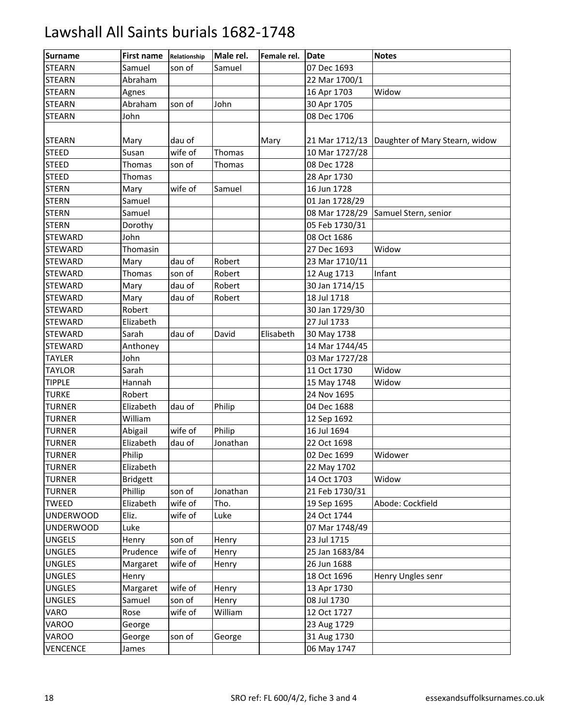| <b>Surname</b>   | <b>First name</b> | Relationship | Male rel. | Female rel. | <b>IDate</b>   | <b>Notes</b>                   |
|------------------|-------------------|--------------|-----------|-------------|----------------|--------------------------------|
| <b>STEARN</b>    | Samuel            | son of       | Samuel    |             | 07 Dec 1693    |                                |
| <b>STEARN</b>    | Abraham           |              |           |             | 22 Mar 1700/1  |                                |
| <b>STEARN</b>    | Agnes             |              |           |             | 16 Apr 1703    | Widow                          |
| <b>STEARN</b>    | Abraham           | son of       | John      |             | 30 Apr 1705    |                                |
| <b>STEARN</b>    | John              |              |           |             | 08 Dec 1706    |                                |
|                  |                   |              |           |             |                |                                |
| <b>STEARN</b>    | Mary              | dau of       |           | Mary        | 21 Mar 1712/13 | Daughter of Mary Stearn, widow |
| <b>STEED</b>     | Susan             | wife of      | Thomas    |             | 10 Mar 1727/28 |                                |
| <b>STEED</b>     | Thomas            | son of       | Thomas    |             | 08 Dec 1728    |                                |
| <b>STEED</b>     | Thomas            |              |           |             | 28 Apr 1730    |                                |
| <b>STERN</b>     | Mary              | wife of      | Samuel    |             | 16 Jun 1728    |                                |
| <b>STERN</b>     | Samuel            |              |           |             | 01 Jan 1728/29 |                                |
| <b>STERN</b>     | Samuel            |              |           |             | 08 Mar 1728/29 | Samuel Stern, senior           |
| <b>STERN</b>     | Dorothy           |              |           |             | 05 Feb 1730/31 |                                |
| <b>STEWARD</b>   | John              |              |           |             | 08 Oct 1686    |                                |
| <b>STEWARD</b>   | Thomasin          |              |           |             | 27 Dec 1693    | Widow                          |
| <b>STEWARD</b>   | Mary              | dau of       | Robert    |             | 23 Mar 1710/11 |                                |
| <b>STEWARD</b>   | <b>Thomas</b>     | son of       | Robert    |             | 12 Aug 1713    | Infant                         |
| <b>STEWARD</b>   | Mary              | dau of       | Robert    |             | 30 Jan 1714/15 |                                |
| <b>STEWARD</b>   | Mary              | dau of       | Robert    |             | 18 Jul 1718    |                                |
| <b>STEWARD</b>   | Robert            |              |           |             | 30 Jan 1729/30 |                                |
| <b>STEWARD</b>   | Elizabeth         |              |           |             | 27 Jul 1733    |                                |
| <b>STEWARD</b>   | Sarah             | dau of       | David     | Elisabeth   | 30 May 1738    |                                |
| <b>STEWARD</b>   | Anthoney          |              |           |             | 14 Mar 1744/45 |                                |
| <b>TAYLER</b>    | John              |              |           |             | 03 Mar 1727/28 |                                |
| <b>TAYLOR</b>    | Sarah             |              |           |             | 11 Oct 1730    | Widow                          |
| <b>TIPPLE</b>    | Hannah            |              |           |             | 15 May 1748    | Widow                          |
| <b>TURKE</b>     | Robert            |              |           |             | 24 Nov 1695    |                                |
| <b>TURNER</b>    | Elizabeth         | dau of       | Philip    |             | 04 Dec 1688    |                                |
| <b>TURNER</b>    | William           |              |           |             | 12 Sep 1692    |                                |
| <b>TURNER</b>    | Abigail           | wife of      | Philip    |             | 16 Jul 1694    |                                |
| <b>TURNER</b>    | Elizabeth         | dau of       | Jonathan  |             | 22 Oct 1698    |                                |
| <b>TURNER</b>    | Philip            |              |           |             | 02 Dec 1699    | Widower                        |
| <b>TURNER</b>    | Elizabeth         |              |           |             | 22 May 1702    |                                |
| <b>TURNER</b>    | <b>Bridgett</b>   |              |           |             | 14 Oct 1703    | Widow                          |
| <b>TURNER</b>    | Phillip           | son of       | Jonathan  |             | 21 Feb 1730/31 |                                |
| <b>TWEED</b>     | Elizabeth         | wife of      | Tho.      |             | 19 Sep 1695    | Abode: Cockfield               |
| <b>UNDERWOOD</b> | Eliz.             | wife of      | Luke      |             | 24 Oct 1744    |                                |
| <b>UNDERWOOD</b> | Luke              |              |           |             | 07 Mar 1748/49 |                                |
| <b>UNGELS</b>    | Henry             | son of       | Henry     |             | 23 Jul 1715    |                                |
| <b>UNGLES</b>    | Prudence          | wife of      | Henry     |             | 25 Jan 1683/84 |                                |
| <b>UNGLES</b>    | Margaret          | wife of      | Henry     |             | 26 Jun 1688    |                                |
| <b>UNGLES</b>    | Henry             |              |           |             | 18 Oct 1696    | Henry Ungles senr              |
| <b>UNGLES</b>    | Margaret          | wife of      | Henry     |             | 13 Apr 1730    |                                |
| <b>UNGLES</b>    | Samuel            | son of       | Henry     |             | 08 Jul 1730    |                                |
| VARO             | Rose              | wife of      | William   |             | 12 Oct 1727    |                                |
| VAROO            | George            |              |           |             | 23 Aug 1729    |                                |
| VAROO            | George            | son of       | George    |             | 31 Aug 1730    |                                |
| <b>VENCENCE</b>  | James             |              |           |             | 06 May 1747    |                                |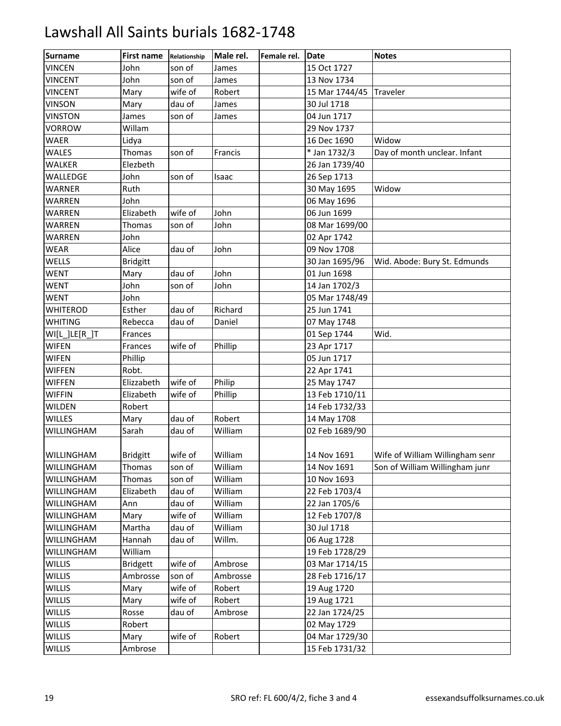| <b>Surname</b>    | <b>First name</b> | Relationship | Male rel. | Female rel. | Date           | <b>Notes</b>                    |
|-------------------|-------------------|--------------|-----------|-------------|----------------|---------------------------------|
| <b>VINCEN</b>     | John              | son of       | James     |             | 15 Oct 1727    |                                 |
| <b>VINCENT</b>    | John              | son of       | James     |             | 13 Nov 1734    |                                 |
| <b>VINCENT</b>    | Mary              | wife of      | Robert    |             | 15 Mar 1744/45 | Traveler                        |
| <b>VINSON</b>     | Mary              | dau of       | James     |             | 30 Jul 1718    |                                 |
| <b>VINSTON</b>    | James             | son of       | James     |             | 04 Jun 1717    |                                 |
| <b>VORROW</b>     | Willam            |              |           |             | 29 Nov 1737    |                                 |
| WAER              | Lidya             |              |           |             | 16 Dec 1690    | Widow                           |
| WALES             | Thomas            | son of       | Francis   |             | * Jan 1732/3   | Day of month unclear. Infant    |
| WALKER            | Elezbeth          |              |           |             | 26 Jan 1739/40 |                                 |
| WALLEDGE          | John              | son of       | Isaac     |             | 26 Sep 1713    |                                 |
| WARNER            | Ruth              |              |           |             | 30 May 1695    | Widow                           |
| WARREN            | John              |              |           |             | 06 May 1696    |                                 |
| WARREN            | Elizabeth         | wife of      | John      |             | 06 Jun 1699    |                                 |
| WARREN            | <b>Thomas</b>     | son of       | John      |             | 08 Mar 1699/00 |                                 |
| <b>WARREN</b>     | John              |              |           |             | 02 Apr 1742    |                                 |
| WEAR              | Alice             | dau of       | John      |             | 09 Nov 1708    |                                 |
| WELLS             | <b>Bridgitt</b>   |              |           |             | 30 Jan 1695/96 | Wid. Abode: Bury St. Edmunds    |
| <b>WENT</b>       | Mary              | dau of       | John      |             | 01 Jun 1698    |                                 |
| <b>WENT</b>       | John              | son of       | John      |             | 14 Jan 1702/3  |                                 |
| <b>WENT</b>       | John              |              |           |             | 05 Mar 1748/49 |                                 |
| <b>WHITEROD</b>   | Esther            | dau of       | Richard   |             | 25 Jun 1741    |                                 |
| <b>WHITING</b>    | Rebecca           | dau of       | Daniel    |             | 07 May 1748    |                                 |
| WI[L_]LE[R_]T     | Frances           |              |           |             | 01 Sep 1744    | Wid.                            |
| <b>WIFEN</b>      | Frances           | wife of      | Phillip   |             | 23 Apr 1717    |                                 |
| <b>WIFEN</b>      | Phillip           |              |           |             | 05 Jun 1717    |                                 |
| <b>WIFFEN</b>     | Robt.             |              |           |             | 22 Apr 1741    |                                 |
| <b>WIFFEN</b>     | Elizzabeth        | wife of      | Philip    |             | 25 May 1747    |                                 |
| <b>WIFFIN</b>     | Elizabeth         | wife of      | Phillip   |             | 13 Feb 1710/11 |                                 |
| WILDEN            | Robert            |              |           |             | 14 Feb 1732/33 |                                 |
| <b>WILLES</b>     | Mary              | dau of       | Robert    |             | 14 May 1708    |                                 |
| WILLINGHAM        | Sarah             | dau of       | William   |             | 02 Feb 1689/90 |                                 |
|                   |                   |              |           |             |                |                                 |
| <b>WILLINGHAM</b> | <b>Bridgitt</b>   | wife of      | William   |             | 14 Nov 1691    | Wife of William Willingham senr |
| WILLINGHAM        | Thomas            | son of       | William   |             | 14 Nov 1691    | Son of William Willingham junr  |
| WILLINGHAM        | Thomas            | son of       | William   |             | 10 Nov 1693    |                                 |
| WILLINGHAM        | Elizabeth         | dau of       | William   |             | 22 Feb 1703/4  |                                 |
| WILLINGHAM        | Ann               | dau of       | William   |             | 22 Jan 1705/6  |                                 |
| WILLINGHAM        | Mary              | wife of      | William   |             | 12 Feb 1707/8  |                                 |
| WILLINGHAM        | Martha            | dau of       | William   |             | 30 Jul 1718    |                                 |
| WILLINGHAM        | Hannah            | dau of       | Willm.    |             | 06 Aug 1728    |                                 |
| WILLINGHAM        | William           |              |           |             | 19 Feb 1728/29 |                                 |
| <b>WILLIS</b>     | <b>Bridgett</b>   | wife of      | Ambrose   |             | 03 Mar 1714/15 |                                 |
| <b>WILLIS</b>     | Ambrosse          | son of       | Ambrosse  |             | 28 Feb 1716/17 |                                 |
| <b>WILLIS</b>     | Mary              | wife of      | Robert    |             | 19 Aug 1720    |                                 |
| <b>WILLIS</b>     | Mary              | wife of      | Robert    |             | 19 Aug 1721    |                                 |
| <b>WILLIS</b>     | Rosse             | dau of       | Ambrose   |             | 22 Jan 1724/25 |                                 |
| <b>WILLIS</b>     | Robert            |              |           |             | 02 May 1729    |                                 |
| <b>WILLIS</b>     | Mary              | wife of      | Robert    |             | 04 Mar 1729/30 |                                 |
| <b>WILLIS</b>     | Ambrose           |              |           |             | 15 Feb 1731/32 |                                 |